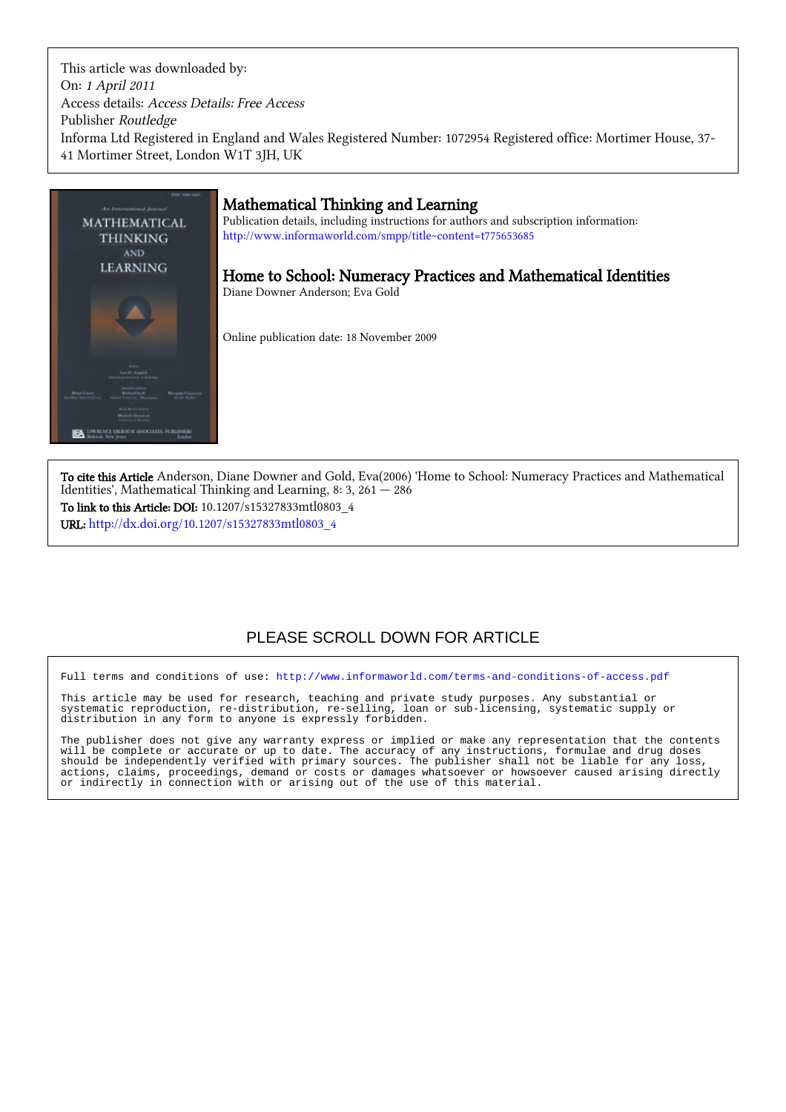This article was downloaded by: On: 1 April 2011 Access details: Access Details: Free Access Publisher Routledge Informa Ltd Registered in England and Wales Registered Number: 1072954 Registered office: Mortimer House, 37- 41 Mortimer Street, London W1T 3JH, UK



To cite this Article Anderson, Diane Downer and Gold, Eva(2006) 'Home to School: Numeracy Practices and Mathematical Identities', Mathematical Thinking and Learning, 8: 3, 261 — 286 To link to this Article: DOI: 10.1207/s15327833mtl0803\_4 URL: [http://dx.doi.org/10.1207/s15327833mtl0803\\_4](http://dx.doi.org/10.1207/s15327833mtl0803_4)

## PLEASE SCROLL DOWN FOR ARTICLE

Full terms and conditions of use:<http://www.informaworld.com/terms-and-conditions-of-access.pdf>

This article may be used for research, teaching and private study purposes. Any substantial or systematic reproduction, re-distribution, re-selling, loan or sub-licensing, systematic supply or distribution in any form to anyone is expressly forbidden.

The publisher does not give any warranty express or implied or make any representation that the contents will be complete or accurate or up to date. The accuracy of any instructions, formulae and drug doses should be independently verified with primary sources. The publisher shall not be liable for any loss, actions, claims, proceedings, demand or costs or damages whatsoever or howsoever caused arising directly or indirectly in connection with or arising out of the use of this material.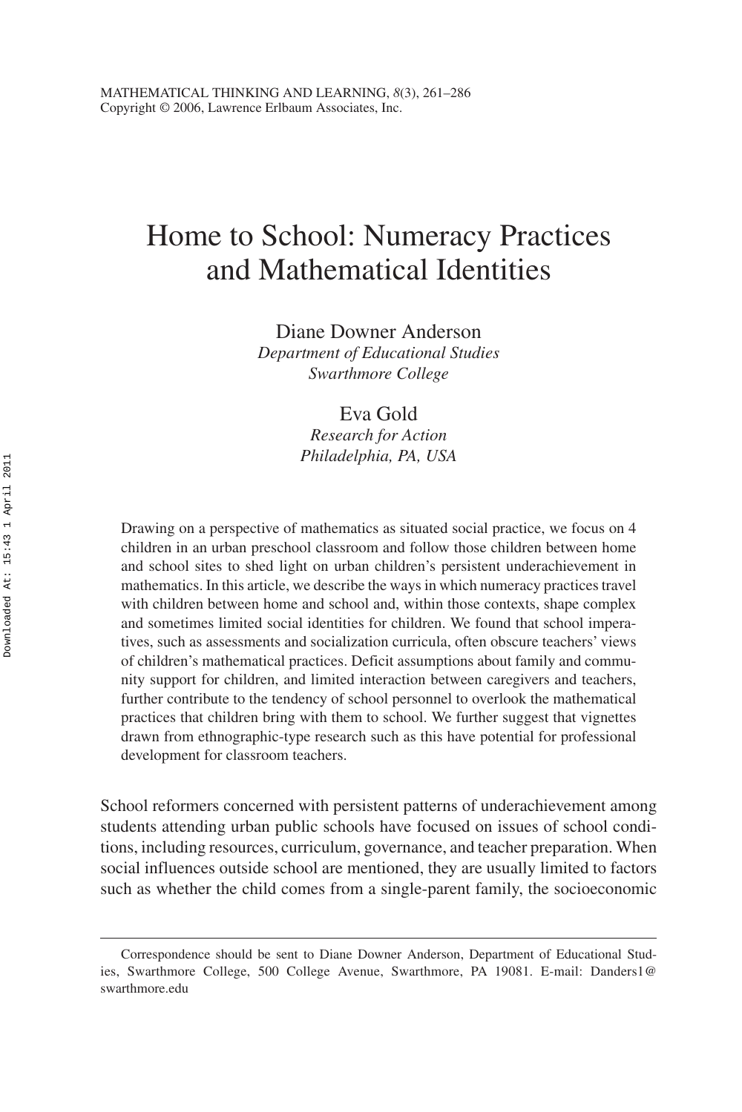# Home to School: Numeracy Practices and Mathematical Identities

Diane Downer Anderson

*Department of Educational Studies Swarthmore College*

Eva Gold

*Research for Action Philadelphia, PA, USA*

Drawing on a perspective of mathematics as situated social practice, we focus on 4 children in an urban preschool classroom and follow those children between home and school sites to shed light on urban children's persistent underachievement in mathematics. In this article, we describe the ways in which numeracy practices travel with children between home and school and, within those contexts, shape complex and sometimes limited social identities for children. We found that school imperatives, such as assessments and socialization curricula, often obscure teachers' views of children's mathematical practices. Deficit assumptions about family and community support for children, and limited interaction between caregivers and teachers, further contribute to the tendency of school personnel to overlook the mathematical practices that children bring with them to school. We further suggest that vignettes drawn from ethnographic-type research such as this have potential for professional development for classroom teachers.

School reformers concerned with persistent patterns of underachievement among students attending urban public schools have focused on issues of school conditions, including resources, curriculum, governance, and teacher preparation. When social influences outside school are mentioned, they are usually limited to factors such as whether the child comes from a single-parent family, the socioeconomic

Correspondence should be sent to Diane Downer Anderson, Department of Educational Studies, Swarthmore College, 500 College Avenue, Swarthmore, PA 19081. E-mail: Danders1@ swarthmore.edu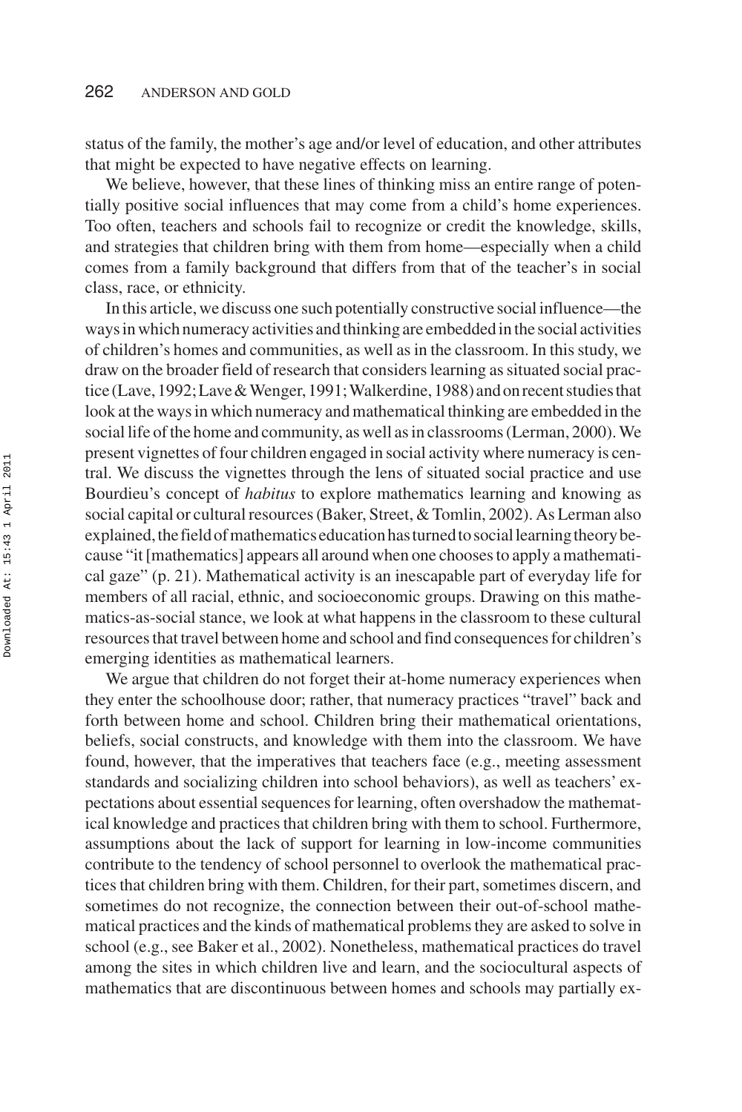status of the family, the mother's age and/or level of education, and other attributes that might be expected to have negative effects on learning.

We believe, however, that these lines of thinking miss an entire range of potentially positive social influences that may come from a child's home experiences. Too often, teachers and schools fail to recognize or credit the knowledge, skills, and strategies that children bring with them from home—especially when a child comes from a family background that differs from that of the teacher's in social class, race, or ethnicity.

In this article, we discuss one such potentially constructive social influence—the ways in which numeracy activities and thinking are embedded in the social activities of children's homes and communities, as well as in the classroom. In this study, we draw on the broader field of research that considers learning as situated social practice(Lave,1992;Lave&Wenger,1991;Walkerdine,1988)andonrecentstudiesthat look at the ways in which numeracy and mathematical thinking are embedded in the social life of the home and community, as well as in classrooms (Lerman, 2000). We present vignettes of four children engaged in social activity where numeracy is central. We discuss the vignettes through the lens of situated social practice and use Bourdieu's concept of *habitus* to explore mathematics learning and knowing as social capital or cultural resources (Baker, Street, & Tomlin, 2002). As Lerman also explained, the field of mathematics education has turned to social learning theory because "it [mathematics] appears all around when one chooses to apply a mathematical gaze" (p. 21). Mathematical activity is an inescapable part of everyday life for members of all racial, ethnic, and socioeconomic groups. Drawing on this mathematics-as-social stance, we look at what happens in the classroom to these cultural resources that travel between home and school and find consequences for children's emerging identities as mathematical learners.

We argue that children do not forget their at-home numeracy experiences when they enter the schoolhouse door; rather, that numeracy practices "travel" back and forth between home and school. Children bring their mathematical orientations, beliefs, social constructs, and knowledge with them into the classroom. We have found, however, that the imperatives that teachers face (e.g., meeting assessment standards and socializing children into school behaviors), as well as teachers' expectations about essential sequences for learning, often overshadow the mathematical knowledge and practices that children bring with them to school. Furthermore, assumptions about the lack of support for learning in low-income communities contribute to the tendency of school personnel to overlook the mathematical practices that children bring with them. Children, for their part, sometimes discern, and sometimes do not recognize, the connection between their out-of-school mathematical practices and the kinds of mathematical problems they are asked to solve in school (e.g., see Baker et al., 2002). Nonetheless, mathematical practices do travel among the sites in which children live and learn, and the sociocultural aspects of mathematics that are discontinuous between homes and schools may partially ex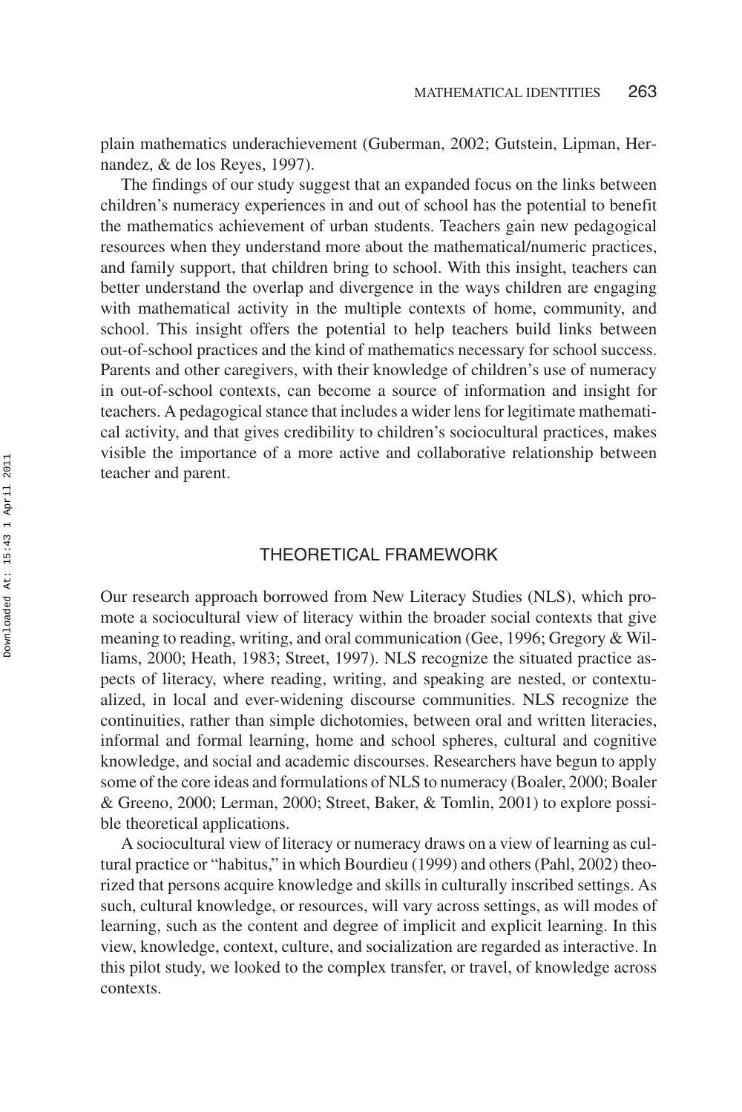plain mathematics underachievement (Guberman, 2002; Gutstein, Lipman, Hernandez, & de los Reyes, 1997).

The findings of our study suggest that an expanded focus on the links between children's numeracy experiences in and out of school has the potential to benefit the mathematics achievement of urban students. Teachers gain new pedagogical resources when they understand more about the mathematical/numeric practices, and family support, that children bring to school. With this insight, teachers can better understand the overlap and divergence in the ways children are engaging with mathematical activity in the multiple contexts of home, community, and school. This insight offers the potential to help teachers build links between out-of-school practices and the kind of mathematics necessary for school success. Parents and other caregivers, with their knowledge of children's use of numeracy in out-of-school contexts, can become a source of information and insight for teachers. A pedagogical stance that includes a wider lens for legitimate mathematical activity, and that gives credibility to children's sociocultural practices, makes visible the importance of a more active and collaborative relationship between teacher and parent.

## THEORETICAL FRAMEWORK

Our research approach borrowed from New Literacy Studies (NLS), which promote a sociocultural view of literacy within the broader social contexts that give meaning to reading, writing, and oral communication (Gee, 1996; Gregory & Williams, 2000; Heath, 1983; Street, 1997). NLS recognize the situated practice aspects of literacy, where reading, writing, and speaking are nested, or contextualized, in local and ever-widening discourse communities. NLS recognize the continuities, rather than simple dichotomies, between oral and written literacies, informal and formal learning, home and school spheres, cultural and cognitive knowledge, and social and academic discourses. Researchers have begun to apply some of the core ideas and formulations of NLS to numeracy (Boaler, 2000; Boaler & Greeno, 2000; Lerman, 2000; Street, Baker, & Tomlin, 2001) to explore possible theoretical applications.

A sociocultural view of literacy or numeracy draws on a view of learning as cultural practice or "habitus," in which Bourdieu (1999) and others (Pahl, 2002) theorized that persons acquire knowledge and skills in culturally inscribed settings. As such, cultural knowledge, or resources, will vary across settings, as will modes of learning, such as the content and degree of implicit and explicit learning. In this view, knowledge, context, culture, and socialization are regarded as interactive. In this pilot study, we looked to the complex transfer, or travel, of knowledge across contexts.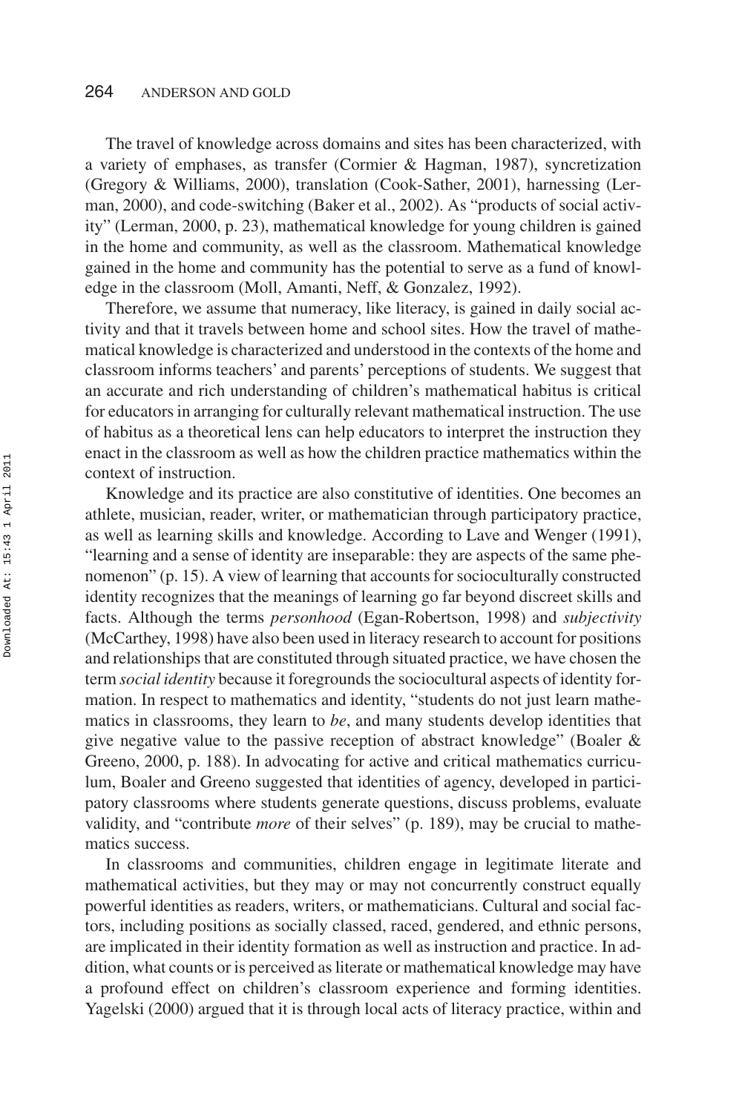The travel of knowledge across domains and sites has been characterized, with a variety of emphases, as transfer (Cormier & Hagman, 1987), syncretization (Gregory & Williams, 2000), translation (Cook-Sather, 2001), harnessing (Lerman, 2000), and code-switching (Baker et al., 2002). As "products of social activity" (Lerman, 2000, p. 23), mathematical knowledge for young children is gained in the home and community, as well as the classroom. Mathematical knowledge gained in the home and community has the potential to serve as a fund of knowledge in the classroom (Moll, Amanti, Neff, & Gonzalez, 1992).

Therefore, we assume that numeracy, like literacy, is gained in daily social activity and that it travels between home and school sites. How the travel of mathematical knowledge is characterized and understood in the contexts of the home and classroom informs teachers' and parents' perceptions of students. We suggest that an accurate and rich understanding of children's mathematical habitus is critical for educators in arranging for culturally relevant mathematical instruction. The use of habitus as a theoretical lens can help educators to interpret the instruction they enact in the classroom as well as how the children practice mathematics within the context of instruction.

Knowledge and its practice are also constitutive of identities. One becomes an athlete, musician, reader, writer, or mathematician through participatory practice, as well as learning skills and knowledge. According to Lave and Wenger (1991), "learning and a sense of identity are inseparable: they are aspects of the same phenomenon" (p. 15). A view of learning that accounts for socioculturally constructed identity recognizes that the meanings of learning go far beyond discreet skills and facts. Although the terms *personhood* (Egan-Robertson, 1998) and *subjectivity* (McCarthey, 1998) have also been used in literacy research to account for positions and relationships that are constituted through situated practice, we have chosen the term *social identity* because it foregrounds the sociocultural aspects of identity formation. In respect to mathematics and identity, "students do not just learn mathematics in classrooms, they learn to *be*, and many students develop identities that give negative value to the passive reception of abstract knowledge" (Boaler & Greeno, 2000, p. 188). In advocating for active and critical mathematics curriculum, Boaler and Greeno suggested that identities of agency, developed in participatory classrooms where students generate questions, discuss problems, evaluate validity, and "contribute *more* of their selves" (p. 189), may be crucial to mathematics success.

In classrooms and communities, children engage in legitimate literate and mathematical activities, but they may or may not concurrently construct equally powerful identities as readers, writers, or mathematicians. Cultural and social factors, including positions as socially classed, raced, gendered, and ethnic persons, are implicated in their identity formation as well as instruction and practice. In addition, what counts or is perceived as literate or mathematical knowledge may have a profound effect on children's classroom experience and forming identities. Yagelski (2000) argued that it is through local acts of literacy practice, within and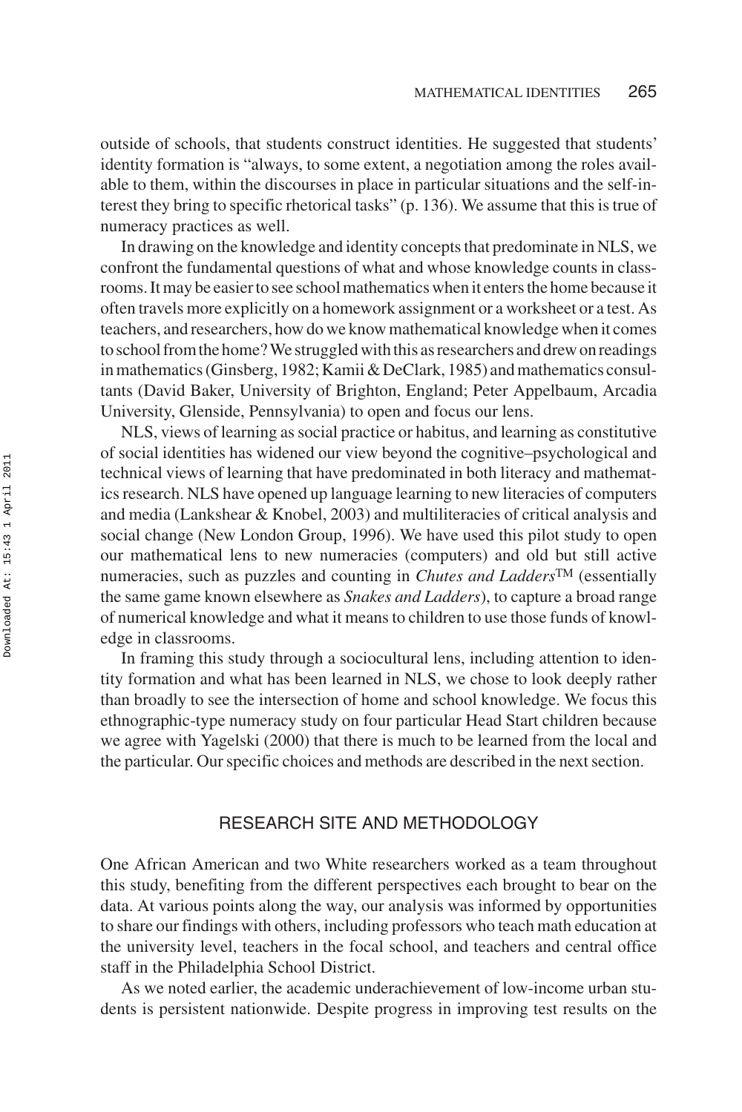outside of schools, that students construct identities. He suggested that students' identity formation is "always, to some extent, a negotiation among the roles available to them, within the discourses in place in particular situations and the self-interest they bring to specific rhetorical tasks" (p. 136). We assume that this is true of numeracy practices as well.

In drawing on the knowledge and identity concepts that predominate in NLS, we confront the fundamental questions of what and whose knowledge counts in classrooms. It may be easier to see school mathematics when it enters the home because it often travels more explicitly on a homework assignment or a worksheet or a test. As teachers, and researchers, how do we know mathematical knowledge when it comes to school from the home? We struggled with this as researchers and drew on readings in mathematics (Ginsberg, 1982; Kamii & DeClark, 1985) and mathematics consultants (David Baker, University of Brighton, England; Peter Appelbaum, Arcadia University, Glenside, Pennsylvania) to open and focus our lens.

NLS, views of learning as social practice or habitus, and learning as constitutive of social identities has widened our view beyond the cognitive–psychological and technical views of learning that have predominated in both literacy and mathematics research. NLS have opened up language learning to new literacies of computers and media (Lankshear & Knobel, 2003) and multiliteracies of critical analysis and social change (New London Group, 1996). We have used this pilot study to open our mathematical lens to new numeracies (computers) and old but still active numeracies, such as puzzles and counting in *Chutes and Ladders*TM (essentially the same game known elsewhere as *Snakes and Ladders*), to capture a broad range of numerical knowledge and what it means to children to use those funds of knowledge in classrooms.

In framing this study through a sociocultural lens, including attention to identity formation and what has been learned in NLS, we chose to look deeply rather than broadly to see the intersection of home and school knowledge. We focus this ethnographic-type numeracy study on four particular Head Start children because we agree with Yagelski (2000) that there is much to be learned from the local and the particular. Our specific choices and methods are described in the next section.

## RESEARCH SITE AND METHODOLOGY

One African American and two White researchers worked as a team throughout this study, benefiting from the different perspectives each brought to bear on the data. At various points along the way, our analysis was informed by opportunities to share our findings with others, including professors who teach math education at the university level, teachers in the focal school, and teachers and central office staff in the Philadelphia School District.

As we noted earlier, the academic underachievement of low-income urban students is persistent nationwide. Despite progress in improving test results on the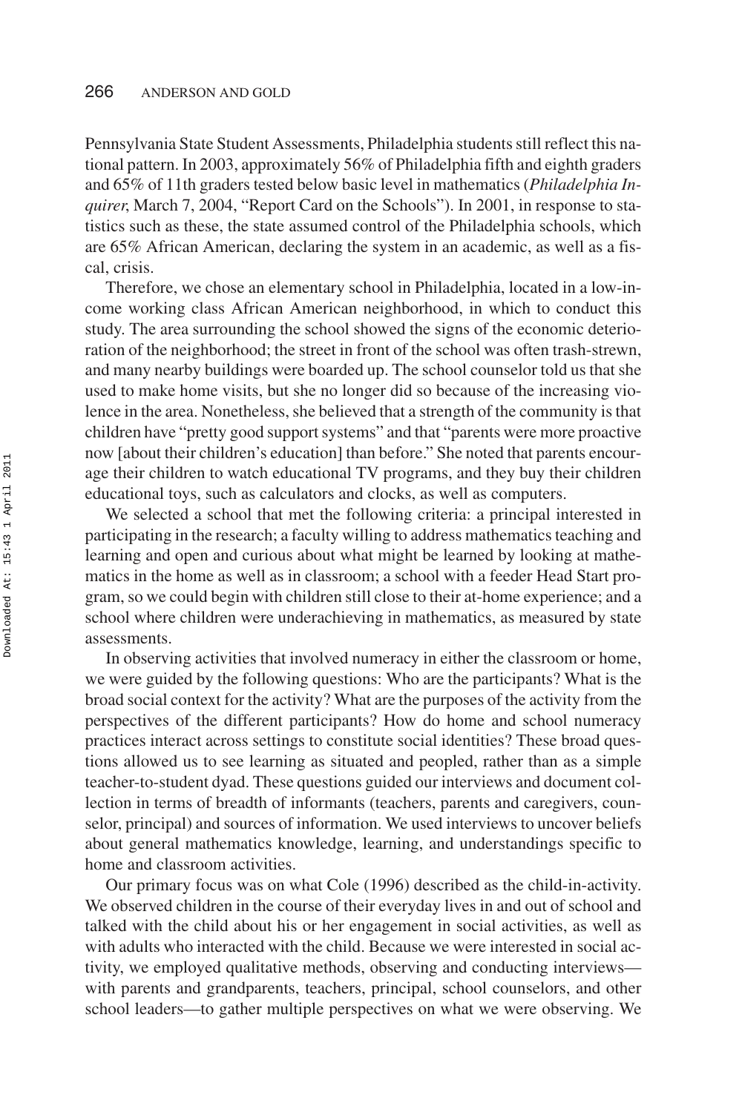Pennsylvania State Student Assessments, Philadelphia students still reflect this national pattern. In 2003, approximately 56% of Philadelphia fifth and eighth graders and 65% of 11th graders tested below basic level in mathematics (*Philadelphia Inquirer*, March 7, 2004, "Report Card on the Schools"). In 2001, in response to statistics such as these, the state assumed control of the Philadelphia schools, which are 65% African American, declaring the system in an academic, as well as a fiscal, crisis.

Therefore, we chose an elementary school in Philadelphia, located in a low-income working class African American neighborhood, in which to conduct this study. The area surrounding the school showed the signs of the economic deterioration of the neighborhood; the street in front of the school was often trash-strewn, and many nearby buildings were boarded up. The school counselor told us that she used to make home visits, but she no longer did so because of the increasing violence in the area. Nonetheless, she believed that a strength of the community is that children have "pretty good support systems" and that "parents were more proactive now [about their children's education] than before." She noted that parents encourage their children to watch educational TV programs, and they buy their children educational toys, such as calculators and clocks, as well as computers.

We selected a school that met the following criteria: a principal interested in participating in the research; a faculty willing to address mathematics teaching and learning and open and curious about what might be learned by looking at mathematics in the home as well as in classroom; a school with a feeder Head Start program, so we could begin with children still close to their at-home experience; and a school where children were underachieving in mathematics, as measured by state assessments.

In observing activities that involved numeracy in either the classroom or home, we were guided by the following questions: Who are the participants? What is the broad social context for the activity? What are the purposes of the activity from the perspectives of the different participants? How do home and school numeracy practices interact across settings to constitute social identities? These broad questions allowed us to see learning as situated and peopled, rather than as a simple teacher-to-student dyad. These questions guided our interviews and document collection in terms of breadth of informants (teachers, parents and caregivers, counselor, principal) and sources of information. We used interviews to uncover beliefs about general mathematics knowledge, learning, and understandings specific to home and classroom activities.

Our primary focus was on what Cole (1996) described as the child-in-activity. We observed children in the course of their everyday lives in and out of school and talked with the child about his or her engagement in social activities, as well as with adults who interacted with the child. Because we were interested in social activity, we employed qualitative methods, observing and conducting interviews with parents and grandparents, teachers, principal, school counselors, and other school leaders—to gather multiple perspectives on what we were observing. We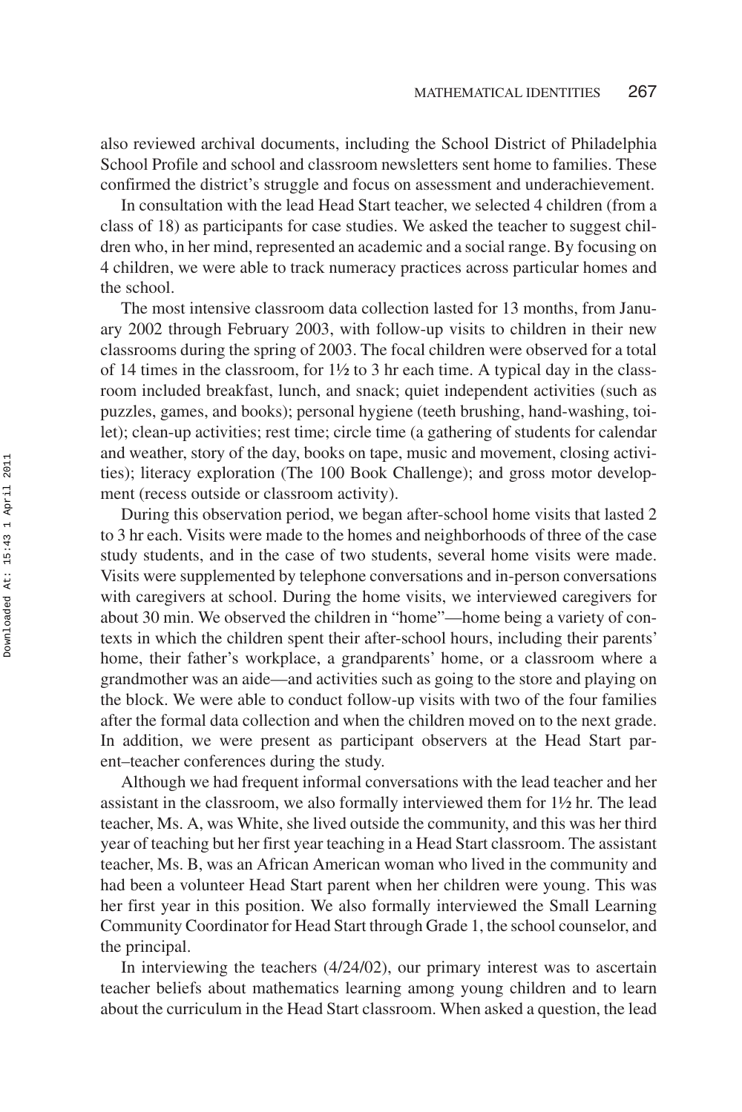also reviewed archival documents, including the School District of Philadelphia School Profile and school and classroom newsletters sent home to families. These confirmed the district's struggle and focus on assessment and underachievement.

In consultation with the lead Head Start teacher, we selected 4 children (from a class of 18) as participants for case studies. We asked the teacher to suggest children who, in her mind, represented an academic and a social range. By focusing on 4 children, we were able to track numeracy practices across particular homes and the school.

The most intensive classroom data collection lasted for 13 months, from January 2002 through February 2003, with follow-up visits to children in their new classrooms during the spring of 2003. The focal children were observed for a total of 14 times in the classroom, for  $1\frac{1}{2}$  to 3 hr each time. A typical day in the classroom included breakfast, lunch, and snack; quiet independent activities (such as puzzles, games, and books); personal hygiene (teeth brushing, hand-washing, toilet); clean-up activities; rest time; circle time (a gathering of students for calendar and weather, story of the day, books on tape, music and movement, closing activities); literacy exploration (The 100 Book Challenge); and gross motor development (recess outside or classroom activity).

During this observation period, we began after-school home visits that lasted 2 to 3 hr each. Visits were made to the homes and neighborhoods of three of the case study students, and in the case of two students, several home visits were made. Visits were supplemented by telephone conversations and in-person conversations with caregivers at school. During the home visits, we interviewed caregivers for about 30 min. We observed the children in "home"—home being a variety of contexts in which the children spent their after-school hours, including their parents' home, their father's workplace, a grandparents' home, or a classroom where a grandmother was an aide—and activities such as going to the store and playing on the block. We were able to conduct follow-up visits with two of the four families after the formal data collection and when the children moved on to the next grade. In addition, we were present as participant observers at the Head Start parent–teacher conferences during the study.

Although we had frequent informal conversations with the lead teacher and her assistant in the classroom, we also formally interviewed them for  $1\frac{1}{2}$  hr. The lead teacher, Ms. A, was White, she lived outside the community, and this was her third year of teaching but her first year teaching in a Head Start classroom. The assistant teacher, Ms. B, was an African American woman who lived in the community and had been a volunteer Head Start parent when her children were young. This was her first year in this position. We also formally interviewed the Small Learning Community Coordinator for Head Start through Grade 1, the school counselor, and the principal.

In interviewing the teachers (4/24/02), our primary interest was to ascertain teacher beliefs about mathematics learning among young children and to learn about the curriculum in the Head Start classroom. When asked a question, the lead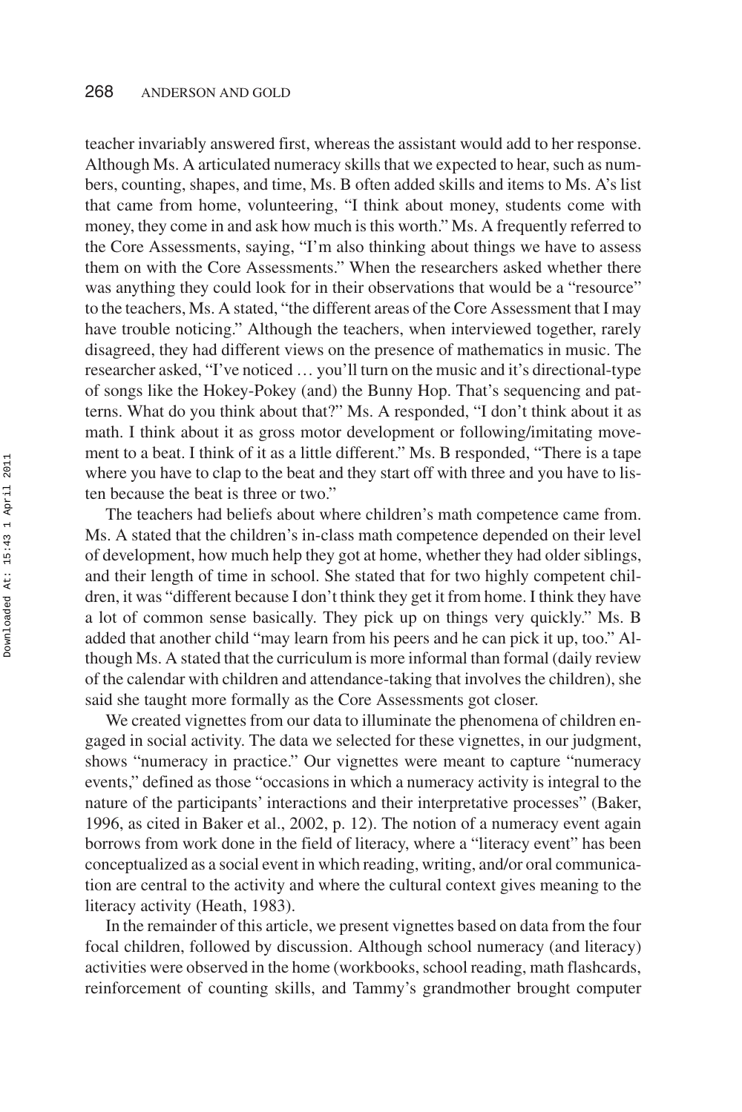teacher invariably answered first, whereas the assistant would add to her response. Although Ms. A articulated numeracy skills that we expected to hear, such as numbers, counting, shapes, and time, Ms. B often added skills and items to Ms. A's list that came from home, volunteering, "I think about money, students come with money, they come in and ask how much is this worth." Ms. A frequently referred to the Core Assessments, saying, "I'm also thinking about things we have to assess them on with the Core Assessments." When the researchers asked whether there was anything they could look for in their observations that would be a "resource" to the teachers, Ms. A stated, "the different areas of the Core Assessment that I may have trouble noticing." Although the teachers, when interviewed together, rarely disagreed, they had different views on the presence of mathematics in music. The researcher asked, "I've noticed … you'll turn on the music and it's directional-type of songs like the Hokey-Pokey (and) the Bunny Hop. That's sequencing and patterns. What do you think about that?" Ms. A responded, "I don't think about it as math. I think about it as gross motor development or following/imitating movement to a beat. I think of it as a little different." Ms. B responded, "There is a tape where you have to clap to the beat and they start off with three and you have to listen because the beat is three or two."

The teachers had beliefs about where children's math competence came from. Ms. A stated that the children's in-class math competence depended on their level of development, how much help they got at home, whether they had older siblings, and their length of time in school. She stated that for two highly competent children, it was "different because I don't think they get it from home. I think they have a lot of common sense basically. They pick up on things very quickly." Ms. B added that another child "may learn from his peers and he can pick it up, too." Although Ms. A stated that the curriculum is more informal than formal (daily review of the calendar with children and attendance-taking that involves the children), she said she taught more formally as the Core Assessments got closer.

We created vignettes from our data to illuminate the phenomena of children engaged in social activity. The data we selected for these vignettes, in our judgment, shows "numeracy in practice." Our vignettes were meant to capture "numeracy events," defined as those "occasions in which a numeracy activity is integral to the nature of the participants' interactions and their interpretative processes" (Baker, 1996, as cited in Baker et al., 2002, p. 12). The notion of a numeracy event again borrows from work done in the field of literacy, where a "literacy event" has been conceptualized as a social event in which reading, writing, and/or oral communication are central to the activity and where the cultural context gives meaning to the literacy activity (Heath, 1983).

In the remainder of this article, we present vignettes based on data from the four focal children, followed by discussion. Although school numeracy (and literacy) activities were observed in the home (workbooks, school reading, math flashcards, reinforcement of counting skills, and Tammy's grandmother brought computer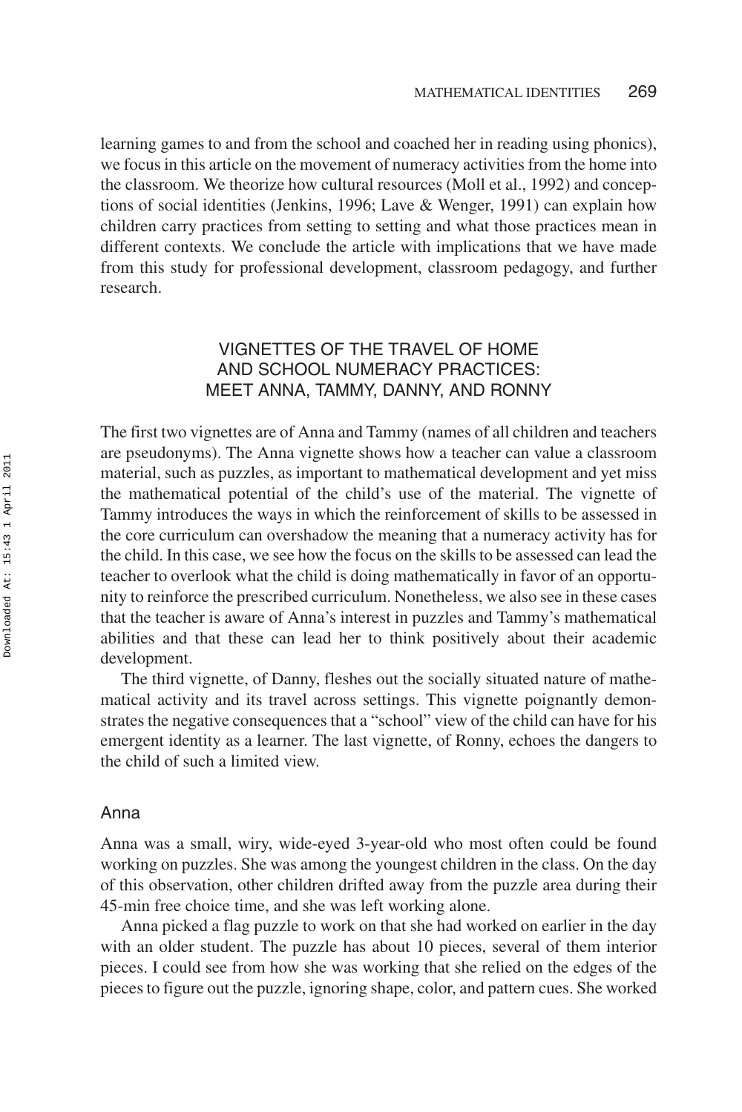learning games to and from the school and coached her in reading using phonics), we focus in this article on the movement of numeracy activities from the home into the classroom. We theorize how cultural resources (Moll et al., 1992) and conceptions of social identities (Jenkins, 1996; Lave & Wenger, 1991) can explain how children carry practices from setting to setting and what those practices mean in different contexts. We conclude the article with implications that we have made from this study for professional development, classroom pedagogy, and further research.

## VIGNETTES OF THE TRAVEL OF HOME AND SCHOOL NUMERACY PRACTICES: MEET ANNA, TAMMY, DANNY, AND RONNY

The first two vignettes are of Anna and Tammy (names of all children and teachers are pseudonyms). The Anna vignette shows how a teacher can value a classroom material, such as puzzles, as important to mathematical development and yet miss the mathematical potential of the child's use of the material. The vignette of Tammy introduces the ways in which the reinforcement of skills to be assessed in the core curriculum can overshadow the meaning that a numeracy activity has for the child. In this case, we see how the focus on the skills to be assessed can lead the teacher to overlook what the child is doing mathematically in favor of an opportunity to reinforce the prescribed curriculum. Nonetheless, we also see in these cases that the teacher is aware of Anna's interest in puzzles and Tammy's mathematical abilities and that these can lead her to think positively about their academic development.

The third vignette, of Danny, fleshes out the socially situated nature of mathematical activity and its travel across settings. This vignette poignantly demonstrates the negative consequences that a "school" view of the child can have for his emergent identity as a learner. The last vignette, of Ronny, echoes the dangers to the child of such a limited view.

#### Anna

Anna was a small, wiry, wide-eyed 3-year-old who most often could be found working on puzzles. She was among the youngest children in the class. On the day of this observation, other children drifted away from the puzzle area during their 45-min free choice time, and she was left working alone.

Anna picked a flag puzzle to work on that she had worked on earlier in the day with an older student. The puzzle has about 10 pieces, several of them interior pieces. I could see from how she was working that she relied on the edges of the pieces to figure out the puzzle, ignoring shape, color, and pattern cues. She worked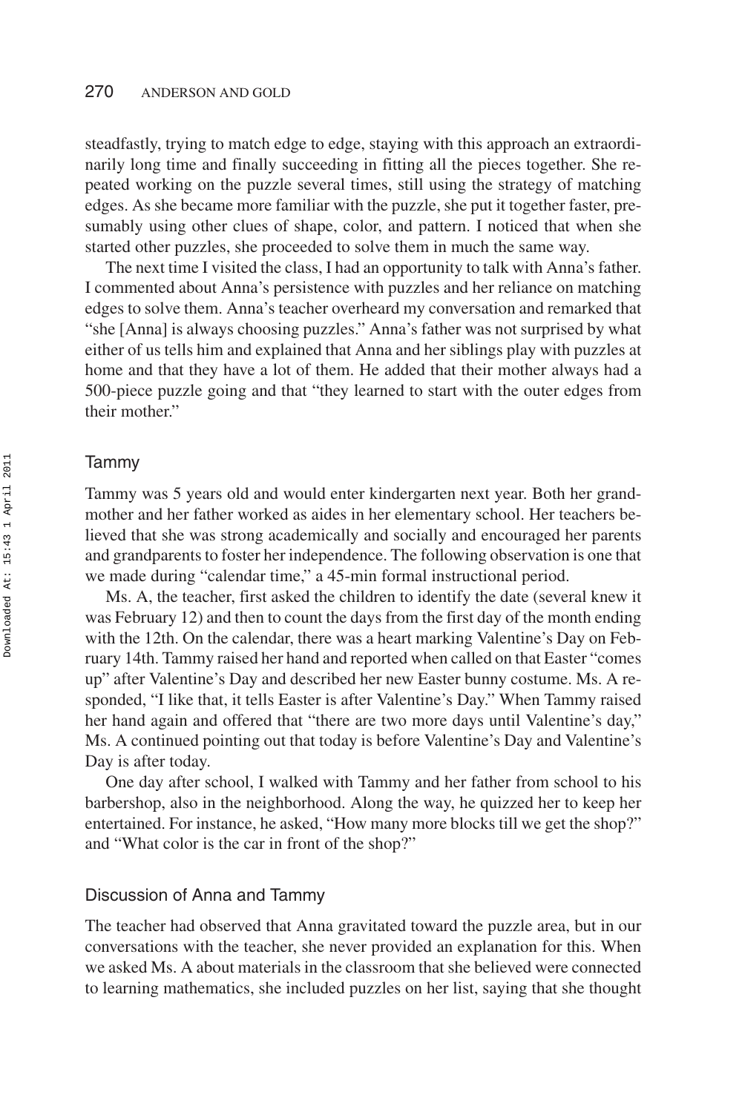steadfastly, trying to match edge to edge, staying with this approach an extraordinarily long time and finally succeeding in fitting all the pieces together. She repeated working on the puzzle several times, still using the strategy of matching edges. As she became more familiar with the puzzle, she put it together faster, presumably using other clues of shape, color, and pattern. I noticed that when she started other puzzles, she proceeded to solve them in much the same way.

The next time I visited the class, I had an opportunity to talk with Anna's father. I commented about Anna's persistence with puzzles and her reliance on matching edges to solve them. Anna's teacher overheard my conversation and remarked that "she [Anna] is always choosing puzzles." Anna's father was not surprised by what either of us tells him and explained that Anna and her siblings play with puzzles at home and that they have a lot of them. He added that their mother always had a 500-piece puzzle going and that "they learned to start with the outer edges from their mother."

#### Tammy

Tammy was 5 years old and would enter kindergarten next year. Both her grandmother and her father worked as aides in her elementary school. Her teachers believed that she was strong academically and socially and encouraged her parents and grandparents to foster her independence. The following observation is one that we made during "calendar time," a 45-min formal instructional period.

Ms. A, the teacher, first asked the children to identify the date (several knew it was February 12) and then to count the days from the first day of the month ending with the 12th. On the calendar, there was a heart marking Valentine's Day on February 14th. Tammy raised her hand and reported when called on that Easter "comes up" after Valentine's Day and described her new Easter bunny costume. Ms. A responded, "I like that, it tells Easter is after Valentine's Day." When Tammy raised her hand again and offered that "there are two more days until Valentine's day," Ms. A continued pointing out that today is before Valentine's Day and Valentine's Day is after today.

One day after school, I walked with Tammy and her father from school to his barbershop, also in the neighborhood. Along the way, he quizzed her to keep her entertained. For instance, he asked, "How many more blocks till we get the shop?" and "What color is the car in front of the shop?"

#### Discussion of Anna and Tammy

The teacher had observed that Anna gravitated toward the puzzle area, but in our conversations with the teacher, she never provided an explanation for this. When we asked Ms. A about materials in the classroom that she believed were connected to learning mathematics, she included puzzles on her list, saying that she thought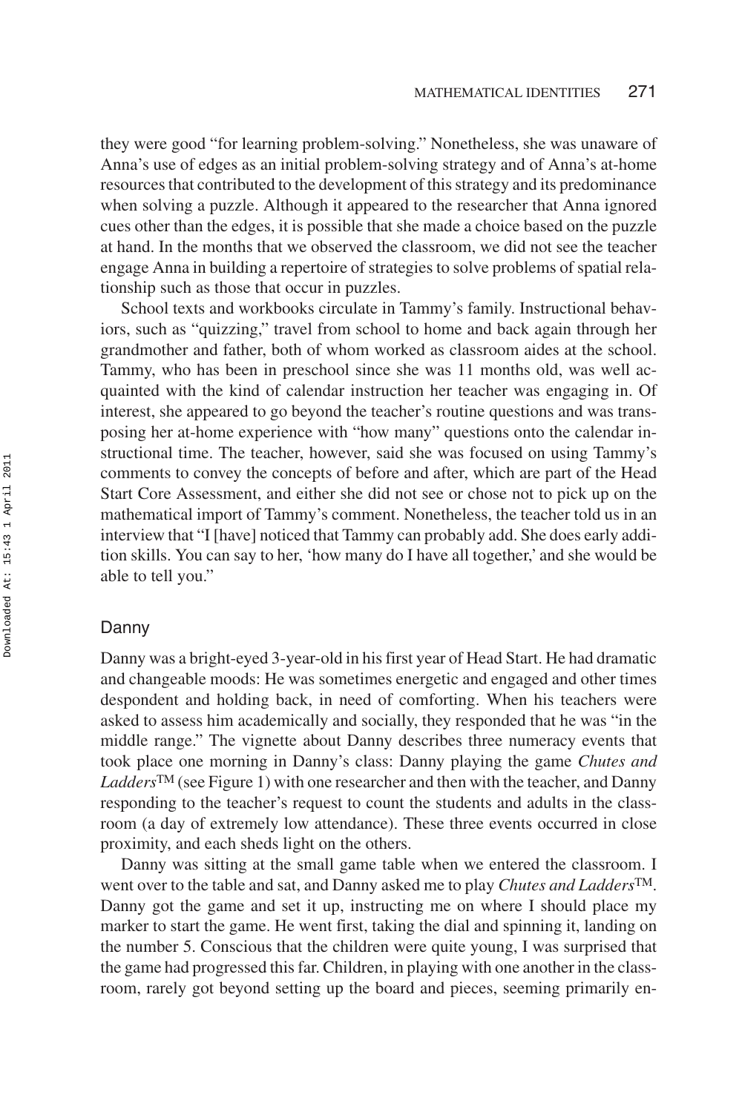they were good "for learning problem-solving." Nonetheless, she was unaware of Anna's use of edges as an initial problem-solving strategy and of Anna's at-home resources that contributed to the development of this strategy and its predominance when solving a puzzle. Although it appeared to the researcher that Anna ignored cues other than the edges, it is possible that she made a choice based on the puzzle at hand. In the months that we observed the classroom, we did not see the teacher engage Anna in building a repertoire of strategies to solve problems of spatial relationship such as those that occur in puzzles.

School texts and workbooks circulate in Tammy's family. Instructional behaviors, such as "quizzing," travel from school to home and back again through her grandmother and father, both of whom worked as classroom aides at the school. Tammy, who has been in preschool since she was 11 months old, was well acquainted with the kind of calendar instruction her teacher was engaging in. Of interest, she appeared to go beyond the teacher's routine questions and was transposing her at-home experience with "how many" questions onto the calendar instructional time. The teacher, however, said she was focused on using Tammy's comments to convey the concepts of before and after, which are part of the Head Start Core Assessment, and either she did not see or chose not to pick up on the mathematical import of Tammy's comment. Nonetheless, the teacher told us in an interview that "I [have] noticed that Tammy can probably add. She does early addition skills. You can say to her, 'how many do I have all together,' and she would be able to tell you."

#### Danny

Danny was a bright-eyed 3-year-old in his first year of Head Start. He had dramatic and changeable moods: He was sometimes energetic and engaged and other times despondent and holding back, in need of comforting. When his teachers were asked to assess him academically and socially, they responded that he was "in the middle range." The vignette about Danny describes three numeracy events that took place one morning in Danny's class: Danny playing the game *Chutes and Ladders*TM (see Figure 1) with one researcher and then with the teacher, and Danny responding to the teacher's request to count the students and adults in the classroom (a day of extremely low attendance). These three events occurred in close proximity, and each sheds light on the others.

Danny was sitting at the small game table when we entered the classroom. I went over to the table and sat, and Danny asked me to play *Chutes and Ladders*TM. Danny got the game and set it up, instructing me on where I should place my marker to start the game. He went first, taking the dial and spinning it, landing on the number 5. Conscious that the children were quite young, I was surprised that the game had progressed this far. Children, in playing with one another in the classroom, rarely got beyond setting up the board and pieces, seeming primarily en-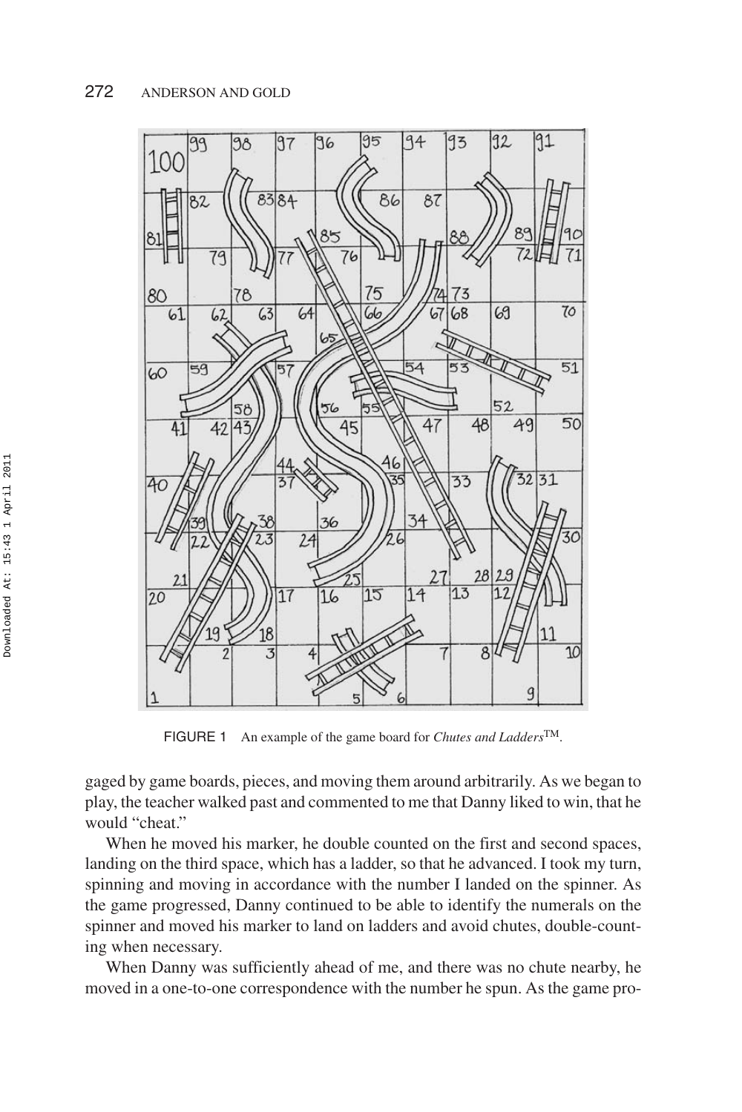

FIGURE 1 An example of the game board for *Chutes and Ladders*TM.

gaged by game boards, pieces, and moving them around arbitrarily. As we began to play, the teacher walked past and commented to me that Danny liked to win, that he would "cheat."

When he moved his marker, he double counted on the first and second spaces, landing on the third space, which has a ladder, so that he advanced. I took my turn, spinning and moving in accordance with the number I landed on the spinner. As the game progressed, Danny continued to be able to identify the numerals on the spinner and moved his marker to land on ladders and avoid chutes, double-counting when necessary.

When Danny was sufficiently ahead of me, and there was no chute nearby, he moved in a one-to-one correspondence with the number he spun. As the game pro-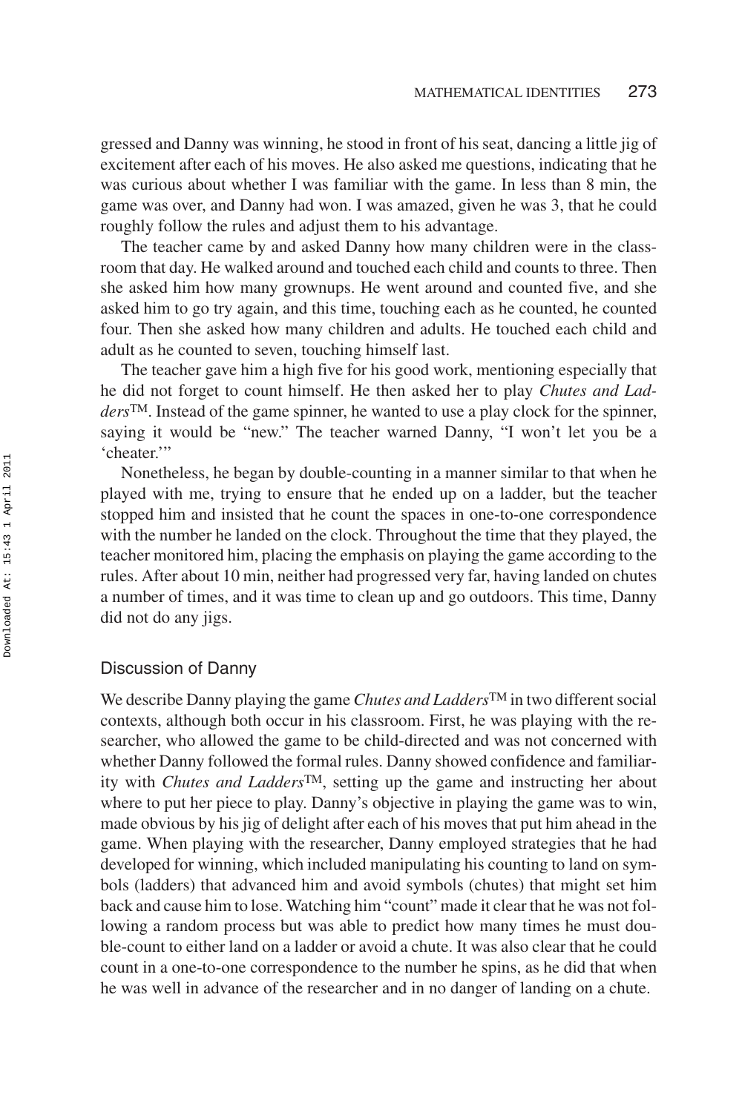gressed and Danny was winning, he stood in front of his seat, dancing a little jig of excitement after each of his moves. He also asked me questions, indicating that he was curious about whether I was familiar with the game. In less than 8 min, the game was over, and Danny had won. I was amazed, given he was 3, that he could roughly follow the rules and adjust them to his advantage.

The teacher came by and asked Danny how many children were in the classroom that day. He walked around and touched each child and counts to three. Then she asked him how many grownups. He went around and counted five, and she asked him to go try again, and this time, touching each as he counted, he counted four. Then she asked how many children and adults. He touched each child and adult as he counted to seven, touching himself last.

The teacher gave him a high five for his good work, mentioning especially that he did not forget to count himself. He then asked her to play *Chutes and Ladders*TM. Instead of the game spinner, he wanted to use a play clock for the spinner, saying it would be "new." The teacher warned Danny, "I won't let you be a 'cheater.'"

Nonetheless, he began by double-counting in a manner similar to that when he played with me, trying to ensure that he ended up on a ladder, but the teacher stopped him and insisted that he count the spaces in one-to-one correspondence with the number he landed on the clock. Throughout the time that they played, the teacher monitored him, placing the emphasis on playing the game according to the rules. After about 10 min, neither had progressed very far, having landed on chutes a number of times, and it was time to clean up and go outdoors. This time, Danny did not do any jigs.

#### Discussion of Danny

We describe Danny playing the game *Chutes and Ladders*TM in two different social contexts, although both occur in his classroom. First, he was playing with the researcher, who allowed the game to be child-directed and was not concerned with whether Danny followed the formal rules. Danny showed confidence and familiarity with *Chutes and Ladders*TM, setting up the game and instructing her about where to put her piece to play. Danny's objective in playing the game was to win, made obvious by his jig of delight after each of his moves that put him ahead in the game. When playing with the researcher, Danny employed strategies that he had developed for winning, which included manipulating his counting to land on symbols (ladders) that advanced him and avoid symbols (chutes) that might set him back and cause him to lose. Watching him "count" made it clear that he was not following a random process but was able to predict how many times he must double-count to either land on a ladder or avoid a chute. It was also clear that he could count in a one-to-one correspondence to the number he spins, as he did that when he was well in advance of the researcher and in no danger of landing on a chute.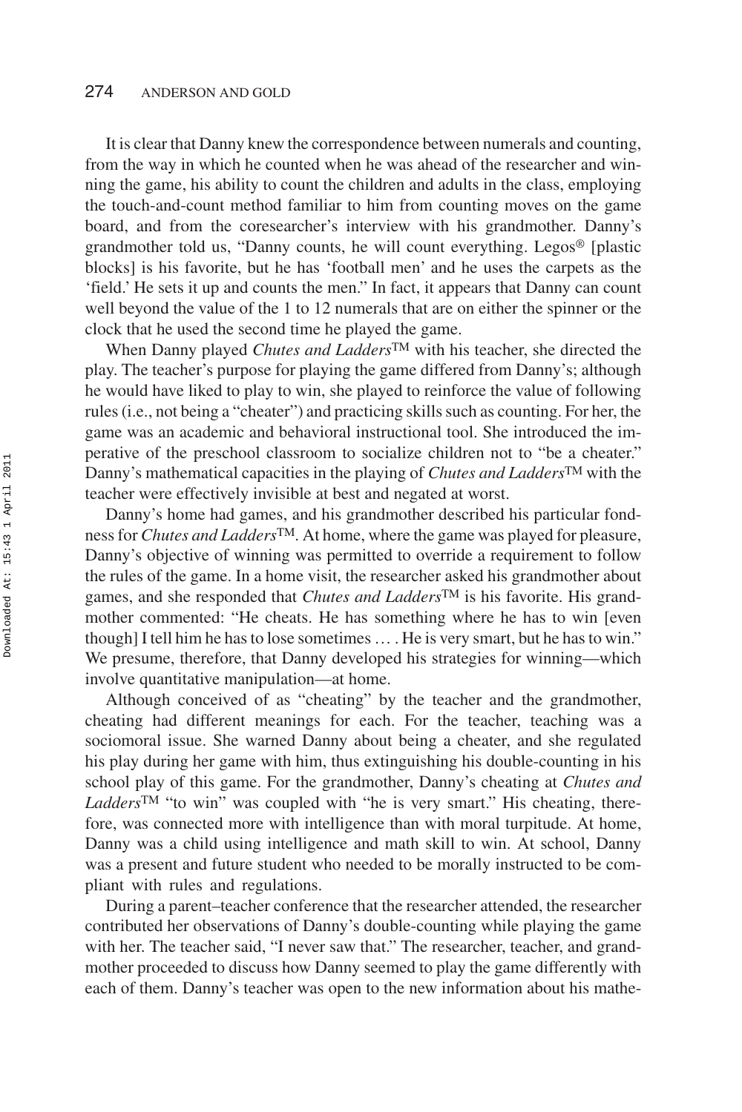It is clear that Danny knew the correspondence between numerals and counting, from the way in which he counted when he was ahead of the researcher and winning the game, his ability to count the children and adults in the class, employing the touch-and-count method familiar to him from counting moves on the game board, and from the coresearcher's interview with his grandmother. Danny's grandmother told us, "Danny counts, he will count everything. Legos® [plastic blocks] is his favorite, but he has 'football men' and he uses the carpets as the 'field.' He sets it up and counts the men." In fact, it appears that Danny can count well beyond the value of the 1 to 12 numerals that are on either the spinner or the clock that he used the second time he played the game.

When Danny played *Chutes and Ladders*TM with his teacher, she directed the play. The teacher's purpose for playing the game differed from Danny's; although he would have liked to play to win, she played to reinforce the value of following rules (i.e., not being a "cheater") and practicing skills such as counting. For her, the game was an academic and behavioral instructional tool. She introduced the imperative of the preschool classroom to socialize children not to "be a cheater." Danny's mathematical capacities in the playing of *Chutes and Ladders*TM with the teacher were effectively invisible at best and negated at worst.

Danny's home had games, and his grandmother described his particular fondness for *Chutes and Ladders*TM. At home, where the game was played for pleasure, Danny's objective of winning was permitted to override a requirement to follow the rules of the game. In a home visit, the researcher asked his grandmother about games, and she responded that *Chutes and Ladders*TM is his favorite. His grandmother commented: "He cheats. He has something where he has to win [even though] I tell him he has to lose sometimes … . He is very smart, but he has to win." We presume, therefore, that Danny developed his strategies for winning—which involve quantitative manipulation—at home.

Although conceived of as "cheating" by the teacher and the grandmother, cheating had different meanings for each. For the teacher, teaching was a sociomoral issue. She warned Danny about being a cheater, and she regulated his play during her game with him, thus extinguishing his double-counting in his school play of this game. For the grandmother, Danny's cheating at *Chutes and Ladders*TM "to win" was coupled with "he is very smart." His cheating, therefore, was connected more with intelligence than with moral turpitude. At home, Danny was a child using intelligence and math skill to win. At school, Danny was a present and future student who needed to be morally instructed to be compliant with rules and regulations.

During a parent–teacher conference that the researcher attended, the researcher contributed her observations of Danny's double-counting while playing the game with her. The teacher said, "I never saw that." The researcher, teacher, and grandmother proceeded to discuss how Danny seemed to play the game differently with each of them. Danny's teacher was open to the new information about his mathe-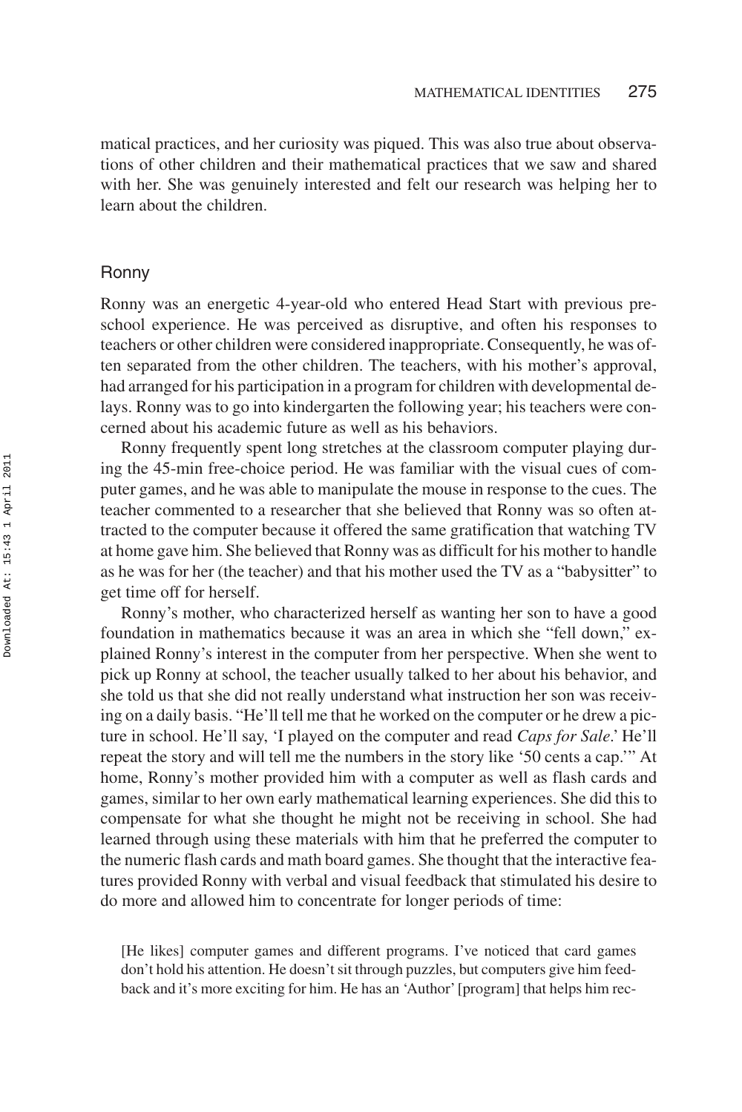matical practices, and her curiosity was piqued. This was also true about observations of other children and their mathematical practices that we saw and shared with her. She was genuinely interested and felt our research was helping her to learn about the children.

#### Ronny

Ronny was an energetic 4-year-old who entered Head Start with previous preschool experience. He was perceived as disruptive, and often his responses to teachers or other children were considered inappropriate. Consequently, he was often separated from the other children. The teachers, with his mother's approval, had arranged for his participation in a program for children with developmental delays. Ronny was to go into kindergarten the following year; his teachers were concerned about his academic future as well as his behaviors.

Ronny frequently spent long stretches at the classroom computer playing during the 45-min free-choice period. He was familiar with the visual cues of computer games, and he was able to manipulate the mouse in response to the cues. The teacher commented to a researcher that she believed that Ronny was so often attracted to the computer because it offered the same gratification that watching TV at home gave him. She believed that Ronny was as difficult for his mother to handle as he was for her (the teacher) and that his mother used the TV as a "babysitter" to get time off for herself.

Ronny's mother, who characterized herself as wanting her son to have a good foundation in mathematics because it was an area in which she "fell down," explained Ronny's interest in the computer from her perspective. When she went to pick up Ronny at school, the teacher usually talked to her about his behavior, and she told us that she did not really understand what instruction her son was receiving on a daily basis. "He'll tell me that he worked on the computer or he drew a picture in school. He'll say, 'I played on the computer and read *Caps for Sale*.' He'll repeat the story and will tell me the numbers in the story like '50 cents a cap.'" At home, Ronny's mother provided him with a computer as well as flash cards and games, similar to her own early mathematical learning experiences. She did this to compensate for what she thought he might not be receiving in school. She had learned through using these materials with him that he preferred the computer to the numeric flash cards and math board games. She thought that the interactive features provided Ronny with verbal and visual feedback that stimulated his desire to do more and allowed him to concentrate for longer periods of time:

[He likes] computer games and different programs. I've noticed that card games don't hold his attention. He doesn't sit through puzzles, but computers give him feedback and it's more exciting for him. He has an 'Author' [program] that helps him rec-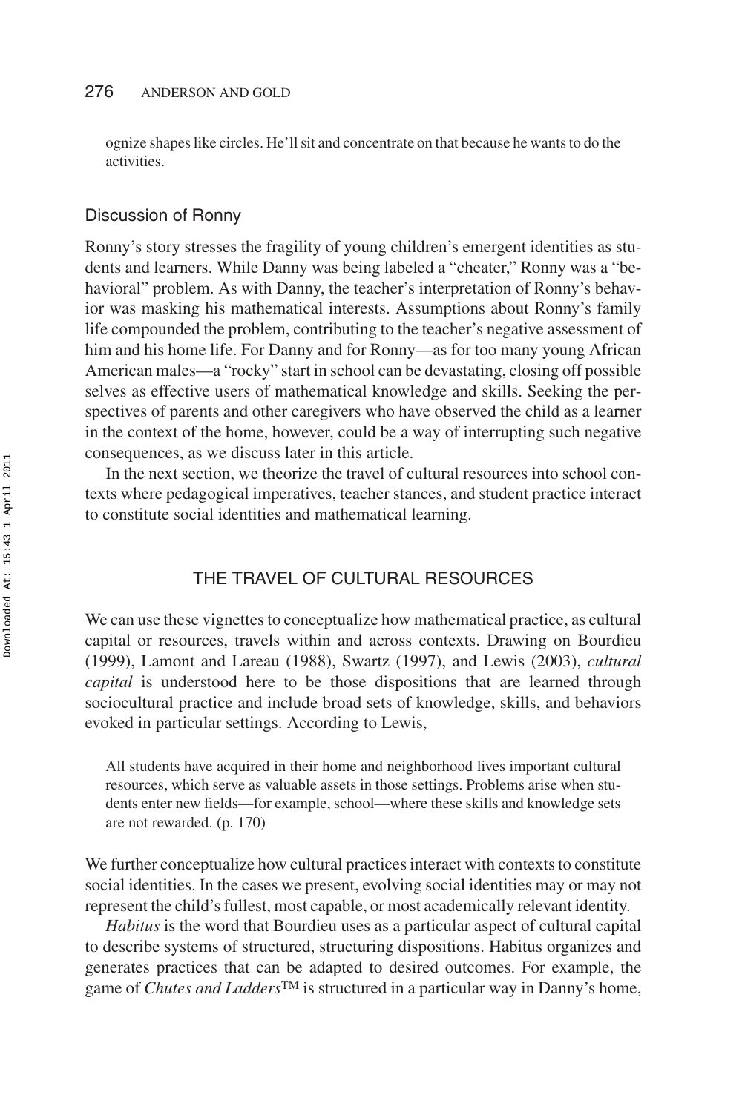ognize shapes like circles. He'll sit and concentrate on that because he wants to do the activities.

#### Discussion of Ronny

Ronny's story stresses the fragility of young children's emergent identities as students and learners. While Danny was being labeled a "cheater," Ronny was a "behavioral" problem. As with Danny, the teacher's interpretation of Ronny's behavior was masking his mathematical interests. Assumptions about Ronny's family life compounded the problem, contributing to the teacher's negative assessment of him and his home life. For Danny and for Ronny—as for too many young African American males—a "rocky" start in school can be devastating, closing off possible selves as effective users of mathematical knowledge and skills. Seeking the perspectives of parents and other caregivers who have observed the child as a learner in the context of the home, however, could be a way of interrupting such negative consequences, as we discuss later in this article.

In the next section, we theorize the travel of cultural resources into school contexts where pedagogical imperatives, teacher stances, and student practice interact to constitute social identities and mathematical learning.

## THE TRAVEL OF CULTURAL RESOURCES

We can use these vignettes to conceptualize how mathematical practice, as cultural capital or resources, travels within and across contexts. Drawing on Bourdieu (1999), Lamont and Lareau (1988), Swartz (1997), and Lewis (2003), *cultural capital* is understood here to be those dispositions that are learned through sociocultural practice and include broad sets of knowledge, skills, and behaviors evoked in particular settings. According to Lewis,

All students have acquired in their home and neighborhood lives important cultural resources, which serve as valuable assets in those settings. Problems arise when students enter new fields—for example, school—where these skills and knowledge sets are not rewarded. (p. 170)

We further conceptualize how cultural practices interact with contexts to constitute social identities. In the cases we present, evolving social identities may or may not represent the child's fullest, most capable, or most academically relevant identity.

*Habitus* is the word that Bourdieu uses as a particular aspect of cultural capital to describe systems of structured, structuring dispositions. Habitus organizes and generates practices that can be adapted to desired outcomes. For example, the game of *Chutes and Ladders*TM is structured in a particular way in Danny's home,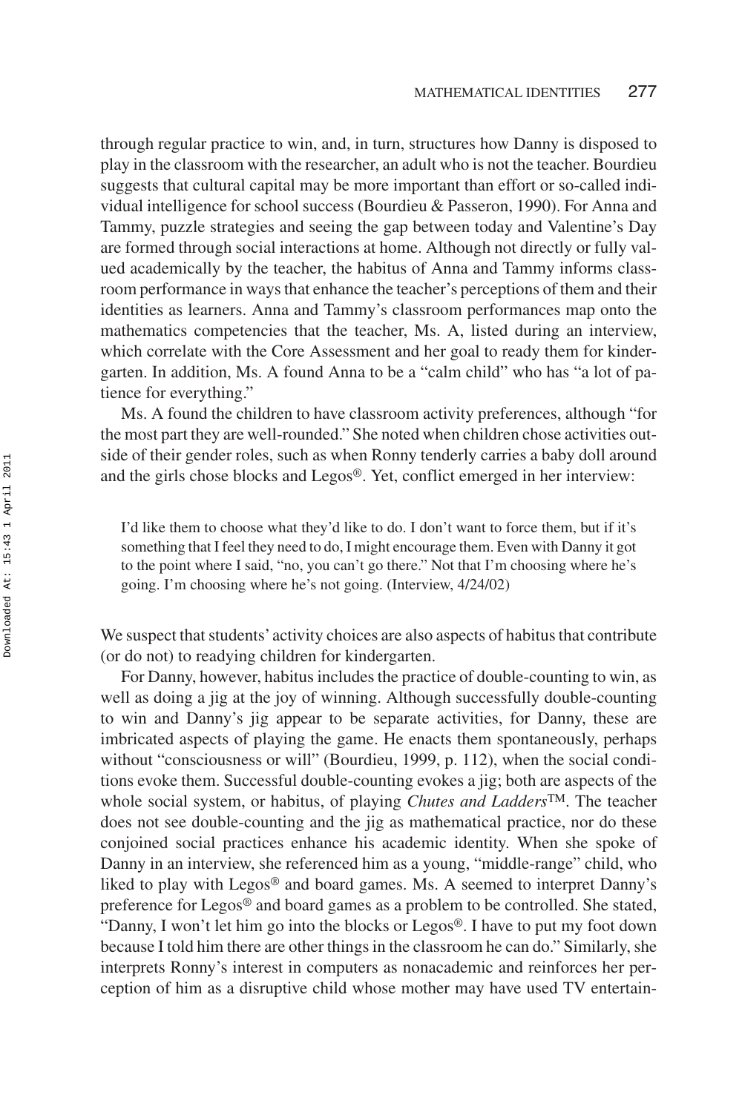through regular practice to win, and, in turn, structures how Danny is disposed to play in the classroom with the researcher, an adult who is not the teacher. Bourdieu suggests that cultural capital may be more important than effort or so-called individual intelligence for school success (Bourdieu & Passeron, 1990). For Anna and Tammy, puzzle strategies and seeing the gap between today and Valentine's Day are formed through social interactions at home. Although not directly or fully valued academically by the teacher, the habitus of Anna and Tammy informs classroom performance in ways that enhance the teacher's perceptions of them and their identities as learners. Anna and Tammy's classroom performances map onto the mathematics competencies that the teacher, Ms. A, listed during an interview, which correlate with the Core Assessment and her goal to ready them for kindergarten. In addition, Ms. A found Anna to be a "calm child" who has "a lot of patience for everything."

Ms. A found the children to have classroom activity preferences, although "for the most part they are well-rounded." She noted when children chose activities outside of their gender roles, such as when Ronny tenderly carries a baby doll around and the girls chose blocks and Legos®. Yet, conflict emerged in her interview:

I'd like them to choose what they'd like to do. I don't want to force them, but if it's something that I feel they need to do, I might encourage them. Even with Danny it got to the point where I said, "no, you can't go there." Not that I'm choosing where he's going. I'm choosing where he's not going. (Interview, 4/24/02)

We suspect that students' activity choices are also aspects of habitus that contribute (or do not) to readying children for kindergarten.

For Danny, however, habitus includes the practice of double-counting to win, as well as doing a jig at the joy of winning. Although successfully double-counting to win and Danny's jig appear to be separate activities, for Danny, these are imbricated aspects of playing the game. He enacts them spontaneously, perhaps without "consciousness or will" (Bourdieu, 1999, p. 112), when the social conditions evoke them. Successful double-counting evokes a jig; both are aspects of the whole social system, or habitus, of playing *Chutes and Ladders*TM. The teacher does not see double-counting and the jig as mathematical practice, nor do these conjoined social practices enhance his academic identity. When she spoke of Danny in an interview, she referenced him as a young, "middle-range" child, who liked to play with Legos® and board games. Ms. A seemed to interpret Danny's preference for Legos® and board games as a problem to be controlled. She stated, "Danny, I won't let him go into the blocks or Legos®. I have to put my foot down because I told him there are other things in the classroom he can do." Similarly, she interprets Ronny's interest in computers as nonacademic and reinforces her perception of him as a disruptive child whose mother may have used TV entertain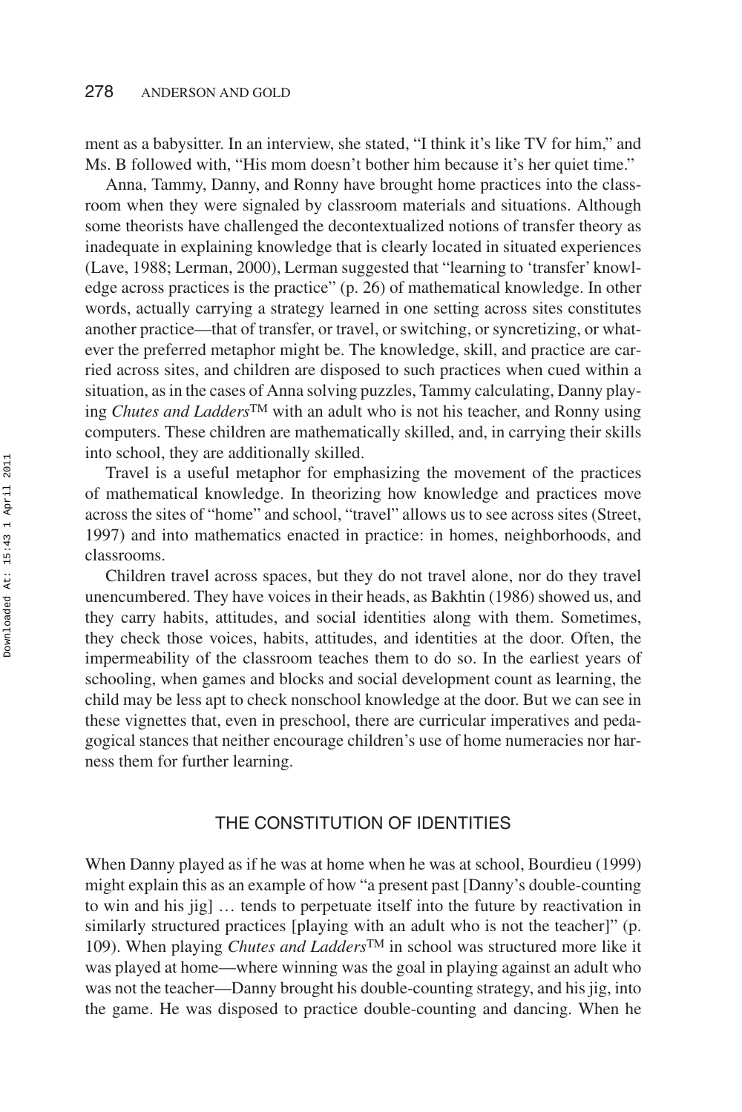ment as a babysitter. In an interview, she stated, "I think it's like TV for him," and Ms. B followed with, "His mom doesn't bother him because it's her quiet time."

Anna, Tammy, Danny, and Ronny have brought home practices into the classroom when they were signaled by classroom materials and situations. Although some theorists have challenged the decontextualized notions of transfer theory as inadequate in explaining knowledge that is clearly located in situated experiences (Lave, 1988; Lerman, 2000), Lerman suggested that "learning to 'transfer' knowledge across practices is the practice" (p. 26) of mathematical knowledge. In other words, actually carrying a strategy learned in one setting across sites constitutes another practice—that of transfer, or travel, or switching, or syncretizing, or whatever the preferred metaphor might be. The knowledge, skill, and practice are carried across sites, and children are disposed to such practices when cued within a situation, as in the cases of Anna solving puzzles, Tammy calculating, Danny playing *Chutes and Ladders*TM with an adult who is not his teacher, and Ronny using computers. These children are mathematically skilled, and, in carrying their skills into school, they are additionally skilled.

Travel is a useful metaphor for emphasizing the movement of the practices of mathematical knowledge. In theorizing how knowledge and practices move across the sites of "home" and school, "travel" allows us to see across sites (Street, 1997) and into mathematics enacted in practice: in homes, neighborhoods, and classrooms.

Children travel across spaces, but they do not travel alone, nor do they travel unencumbered. They have voices in their heads, as Bakhtin (1986) showed us, and they carry habits, attitudes, and social identities along with them. Sometimes, they check those voices, habits, attitudes, and identities at the door. Often, the impermeability of the classroom teaches them to do so. In the earliest years of schooling, when games and blocks and social development count as learning, the child may be less apt to check nonschool knowledge at the door. But we can see in these vignettes that, even in preschool, there are curricular imperatives and pedagogical stances that neither encourage children's use of home numeracies nor harness them for further learning.

## THE CONSTITUTION OF IDENTITIES

When Danny played as if he was at home when he was at school, Bourdieu (1999) might explain this as an example of how "a present past [Danny's double-counting to win and his jig] … tends to perpetuate itself into the future by reactivation in similarly structured practices [playing with an adult who is not the teacher]" (p. 109). When playing *Chutes and Ladders*TM in school was structured more like it was played at home—where winning was the goal in playing against an adult who was not the teacher—Danny brought his double-counting strategy, and his jig, into the game. He was disposed to practice double-counting and dancing. When he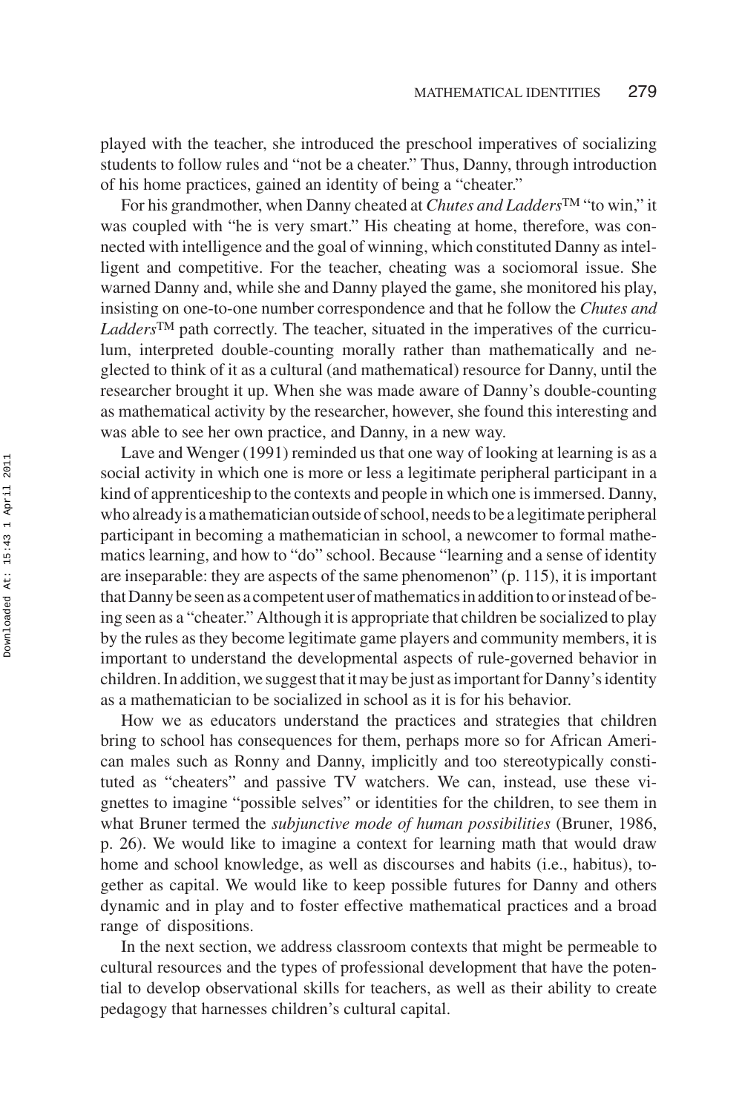played with the teacher, she introduced the preschool imperatives of socializing students to follow rules and "not be a cheater." Thus, Danny, through introduction of his home practices, gained an identity of being a "cheater."

For his grandmother, when Danny cheated at *Chutes and Ladders*TM "to win," it was coupled with "he is very smart." His cheating at home, therefore, was connected with intelligence and the goal of winning, which constituted Danny as intelligent and competitive. For the teacher, cheating was a sociomoral issue. She warned Danny and, while she and Danny played the game, she monitored his play, insisting on one-to-one number correspondence and that he follow the *Chutes and Ladders*TM path correctly. The teacher, situated in the imperatives of the curriculum, interpreted double-counting morally rather than mathematically and neglected to think of it as a cultural (and mathematical) resource for Danny, until the researcher brought it up. When she was made aware of Danny's double-counting as mathematical activity by the researcher, however, she found this interesting and was able to see her own practice, and Danny, in a new way.

Lave and Wenger (1991) reminded us that one way of looking at learning is as a social activity in which one is more or less a legitimate peripheral participant in a kind of apprenticeship to the contexts and people in which one is immersed. Danny, who already is a mathematician outside of school, needs to be a legitimate peripheral participant in becoming a mathematician in school, a newcomer to formal mathematics learning, and how to "do" school. Because "learning and a sense of identity are inseparable: they are aspects of the same phenomenon" (p. 115), it is important thatDannybeseenasacompetentuserofmathematicsinadditiontoorinsteadofbeing seen as a "cheater." Although it is appropriate that children be socialized to play by the rules as they become legitimate game players and community members, it is important to understand the developmental aspects of rule-governed behavior in children. In addition, we suggest that it may be just as important for Danny's identity as a mathematician to be socialized in school as it is for his behavior.

How we as educators understand the practices and strategies that children bring to school has consequences for them, perhaps more so for African American males such as Ronny and Danny, implicitly and too stereotypically constituted as "cheaters" and passive TV watchers. We can, instead, use these vignettes to imagine "possible selves" or identities for the children, to see them in what Bruner termed the *subjunctive mode of human possibilities* (Bruner, 1986, p. 26). We would like to imagine a context for learning math that would draw home and school knowledge, as well as discourses and habits (i.e., habitus), together as capital. We would like to keep possible futures for Danny and others dynamic and in play and to foster effective mathematical practices and a broad range of dispositions.

In the next section, we address classroom contexts that might be permeable to cultural resources and the types of professional development that have the potential to develop observational skills for teachers, as well as their ability to create pedagogy that harnesses children's cultural capital.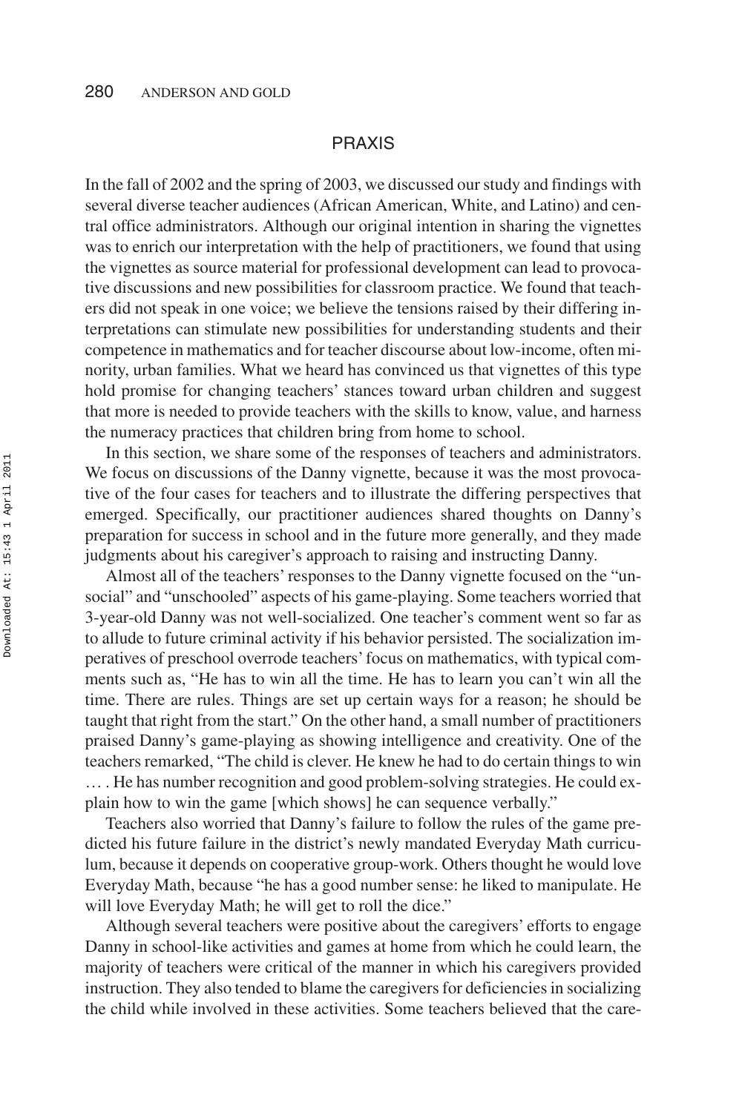## PRAXIS

In the fall of 2002 and the spring of 2003, we discussed our study and findings with several diverse teacher audiences (African American, White, and Latino) and central office administrators. Although our original intention in sharing the vignettes was to enrich our interpretation with the help of practitioners, we found that using the vignettes as source material for professional development can lead to provocative discussions and new possibilities for classroom practice. We found that teachers did not speak in one voice; we believe the tensions raised by their differing interpretations can stimulate new possibilities for understanding students and their competence in mathematics and for teacher discourse about low-income, often minority, urban families. What we heard has convinced us that vignettes of this type hold promise for changing teachers' stances toward urban children and suggest that more is needed to provide teachers with the skills to know, value, and harness the numeracy practices that children bring from home to school.

In this section, we share some of the responses of teachers and administrators. We focus on discussions of the Danny vignette, because it was the most provocative of the four cases for teachers and to illustrate the differing perspectives that emerged. Specifically, our practitioner audiences shared thoughts on Danny's preparation for success in school and in the future more generally, and they made judgments about his caregiver's approach to raising and instructing Danny.

Almost all of the teachers' responses to the Danny vignette focused on the "unsocial" and "unschooled" aspects of his game-playing. Some teachers worried that 3-year-old Danny was not well-socialized. One teacher's comment went so far as to allude to future criminal activity if his behavior persisted. The socialization imperatives of preschool overrode teachers' focus on mathematics, with typical comments such as, "He has to win all the time. He has to learn you can't win all the time. There are rules. Things are set up certain ways for a reason; he should be taught that right from the start." On the other hand, a small number of practitioners praised Danny's game-playing as showing intelligence and creativity. One of the teachers remarked, "The child is clever. He knew he had to do certain things to win … . He has number recognition and good problem-solving strategies. He could explain how to win the game [which shows] he can sequence verbally."

Teachers also worried that Danny's failure to follow the rules of the game predicted his future failure in the district's newly mandated Everyday Math curriculum, because it depends on cooperative group-work. Others thought he would love Everyday Math, because "he has a good number sense: he liked to manipulate. He will love Everyday Math; he will get to roll the dice."

Although several teachers were positive about the caregivers' efforts to engage Danny in school-like activities and games at home from which he could learn, the majority of teachers were critical of the manner in which his caregivers provided instruction. They also tended to blame the caregivers for deficiencies in socializing the child while involved in these activities. Some teachers believed that the care-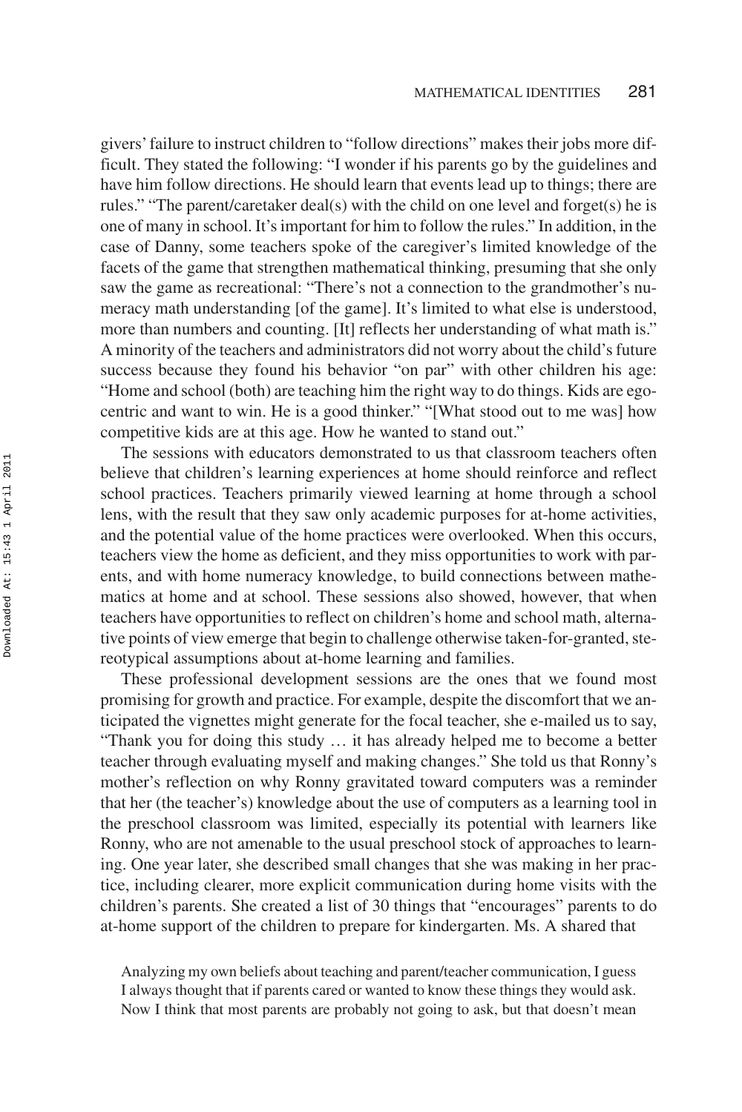givers' failure to instruct children to "follow directions" makes their jobs more difficult. They stated the following: "I wonder if his parents go by the guidelines and have him follow directions. He should learn that events lead up to things; there are rules." "The parent/caretaker deal(s) with the child on one level and forget(s) he is one of many in school. It's important for him to follow the rules." In addition, in the case of Danny, some teachers spoke of the caregiver's limited knowledge of the facets of the game that strengthen mathematical thinking, presuming that she only saw the game as recreational: "There's not a connection to the grandmother's numeracy math understanding [of the game]. It's limited to what else is understood, more than numbers and counting. [It] reflects her understanding of what math is." A minority of the teachers and administrators did not worry about the child's future success because they found his behavior "on par" with other children his age: "Home and school (both) are teaching him the right way to do things. Kids are egocentric and want to win. He is a good thinker." "[What stood out to me was] how competitive kids are at this age. How he wanted to stand out."

The sessions with educators demonstrated to us that classroom teachers often believe that children's learning experiences at home should reinforce and reflect school practices. Teachers primarily viewed learning at home through a school lens, with the result that they saw only academic purposes for at-home activities, and the potential value of the home practices were overlooked. When this occurs, teachers view the home as deficient, and they miss opportunities to work with parents, and with home numeracy knowledge, to build connections between mathematics at home and at school. These sessions also showed, however, that when teachers have opportunities to reflect on children's home and school math, alternative points of view emerge that begin to challenge otherwise taken-for-granted, stereotypical assumptions about at-home learning and families.

These professional development sessions are the ones that we found most promising for growth and practice. For example, despite the discomfort that we anticipated the vignettes might generate for the focal teacher, she e-mailed us to say, "Thank you for doing this study … it has already helped me to become a better teacher through evaluating myself and making changes." She told us that Ronny's mother's reflection on why Ronny gravitated toward computers was a reminder that her (the teacher's) knowledge about the use of computers as a learning tool in the preschool classroom was limited, especially its potential with learners like Ronny, who are not amenable to the usual preschool stock of approaches to learning. One year later, she described small changes that she was making in her practice, including clearer, more explicit communication during home visits with the children's parents. She created a list of 30 things that "encourages" parents to do at-home support of the children to prepare for kindergarten. Ms. A shared that

Analyzing my own beliefs about teaching and parent/teacher communication, I guess I always thought that if parents cared or wanted to know these things they would ask. Now I think that most parents are probably not going to ask, but that doesn't mean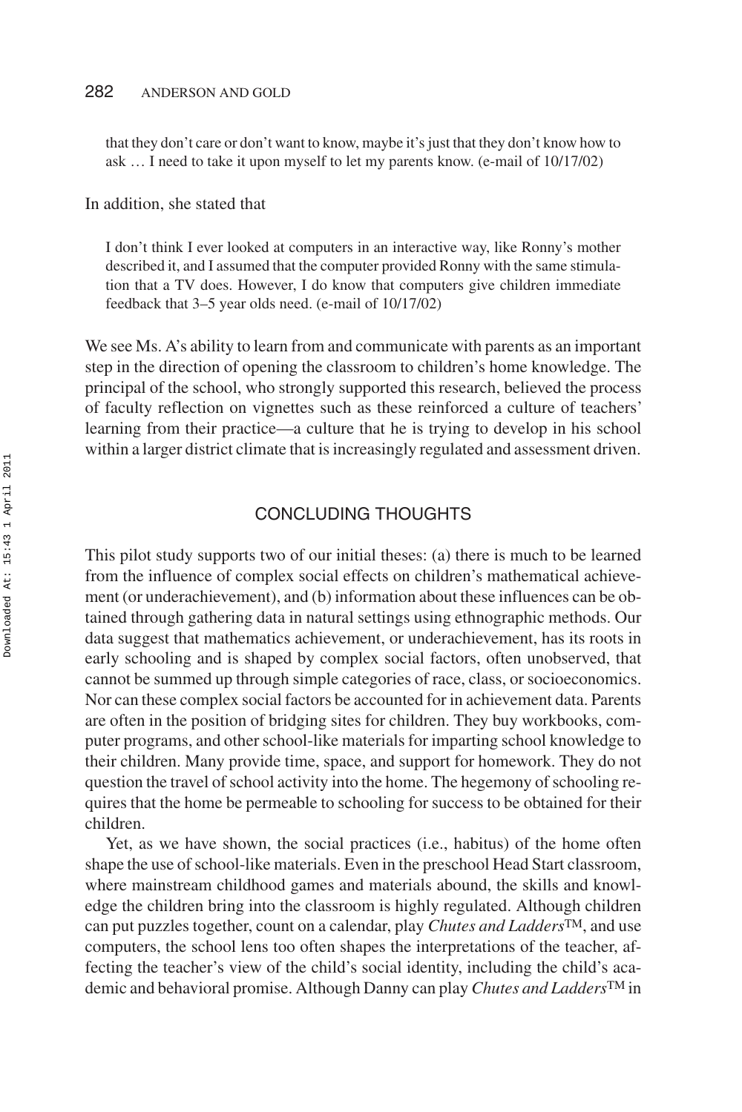that they don't care or don't want to know, maybe it's just that they don't know how to ask … I need to take it upon myself to let my parents know. (e-mail of 10/17/02)

In addition, she stated that

I don't think I ever looked at computers in an interactive way, like Ronny's mother described it, and I assumed that the computer provided Ronny with the same stimulation that a TV does. However, I do know that computers give children immediate feedback that 3–5 year olds need. (e-mail of 10/17/02)

We see Ms. A's ability to learn from and communicate with parents as an important step in the direction of opening the classroom to children's home knowledge. The principal of the school, who strongly supported this research, believed the process of faculty reflection on vignettes such as these reinforced a culture of teachers' learning from their practice—a culture that he is trying to develop in his school within a larger district climate that is increasingly regulated and assessment driven.

#### CONCLUDING THOUGHTS

This pilot study supports two of our initial theses: (a) there is much to be learned from the influence of complex social effects on children's mathematical achievement (or underachievement), and (b) information about these influences can be obtained through gathering data in natural settings using ethnographic methods. Our data suggest that mathematics achievement, or underachievement, has its roots in early schooling and is shaped by complex social factors, often unobserved, that cannot be summed up through simple categories of race, class, or socioeconomics. Nor can these complex social factors be accounted for in achievement data. Parents are often in the position of bridging sites for children. They buy workbooks, computer programs, and other school-like materials for imparting school knowledge to their children. Many provide time, space, and support for homework. They do not question the travel of school activity into the home. The hegemony of schooling requires that the home be permeable to schooling for success to be obtained for their children.

Yet, as we have shown, the social practices (i.e., habitus) of the home often shape the use of school-like materials. Even in the preschool Head Start classroom, where mainstream childhood games and materials abound, the skills and knowledge the children bring into the classroom is highly regulated. Although children can put puzzles together, count on a calendar, play *Chutes and Ladders*TM, and use computers, the school lens too often shapes the interpretations of the teacher, affecting the teacher's view of the child's social identity, including the child's academic and behavioral promise. Although Danny can play *Chutes and Ladders*TM in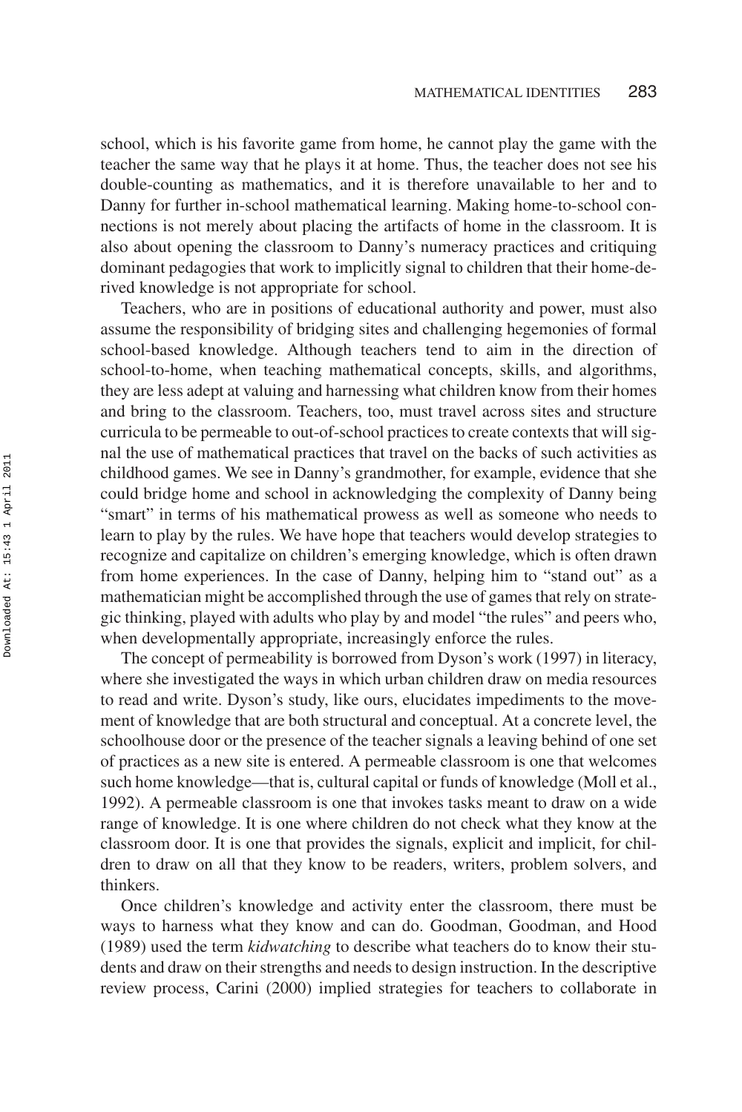school, which is his favorite game from home, he cannot play the game with the teacher the same way that he plays it at home. Thus, the teacher does not see his double-counting as mathematics, and it is therefore unavailable to her and to Danny for further in-school mathematical learning. Making home-to-school connections is not merely about placing the artifacts of home in the classroom. It is also about opening the classroom to Danny's numeracy practices and critiquing dominant pedagogies that work to implicitly signal to children that their home-derived knowledge is not appropriate for school.

Teachers, who are in positions of educational authority and power, must also assume the responsibility of bridging sites and challenging hegemonies of formal school-based knowledge. Although teachers tend to aim in the direction of school-to-home, when teaching mathematical concepts, skills, and algorithms, they are less adept at valuing and harnessing what children know from their homes and bring to the classroom. Teachers, too, must travel across sites and structure curricula to be permeable to out-of-school practices to create contexts that will signal the use of mathematical practices that travel on the backs of such activities as childhood games. We see in Danny's grandmother, for example, evidence that she could bridge home and school in acknowledging the complexity of Danny being "smart" in terms of his mathematical prowess as well as someone who needs to learn to play by the rules. We have hope that teachers would develop strategies to recognize and capitalize on children's emerging knowledge, which is often drawn from home experiences. In the case of Danny, helping him to "stand out" as a mathematician might be accomplished through the use of games that rely on strategic thinking, played with adults who play by and model "the rules" and peers who, when developmentally appropriate, increasingly enforce the rules.

The concept of permeability is borrowed from Dyson's work (1997) in literacy, where she investigated the ways in which urban children draw on media resources to read and write. Dyson's study, like ours, elucidates impediments to the movement of knowledge that are both structural and conceptual. At a concrete level, the schoolhouse door or the presence of the teacher signals a leaving behind of one set of practices as a new site is entered. A permeable classroom is one that welcomes such home knowledge—that is, cultural capital or funds of knowledge (Moll et al., 1992). A permeable classroom is one that invokes tasks meant to draw on a wide range of knowledge. It is one where children do not check what they know at the classroom door. It is one that provides the signals, explicit and implicit, for children to draw on all that they know to be readers, writers, problem solvers, and thinkers.

Once children's knowledge and activity enter the classroom, there must be ways to harness what they know and can do. Goodman, Goodman, and Hood (1989) used the term *kidwatching* to describe what teachers do to know their students and draw on their strengths and needs to design instruction. In the descriptive review process, Carini (2000) implied strategies for teachers to collaborate in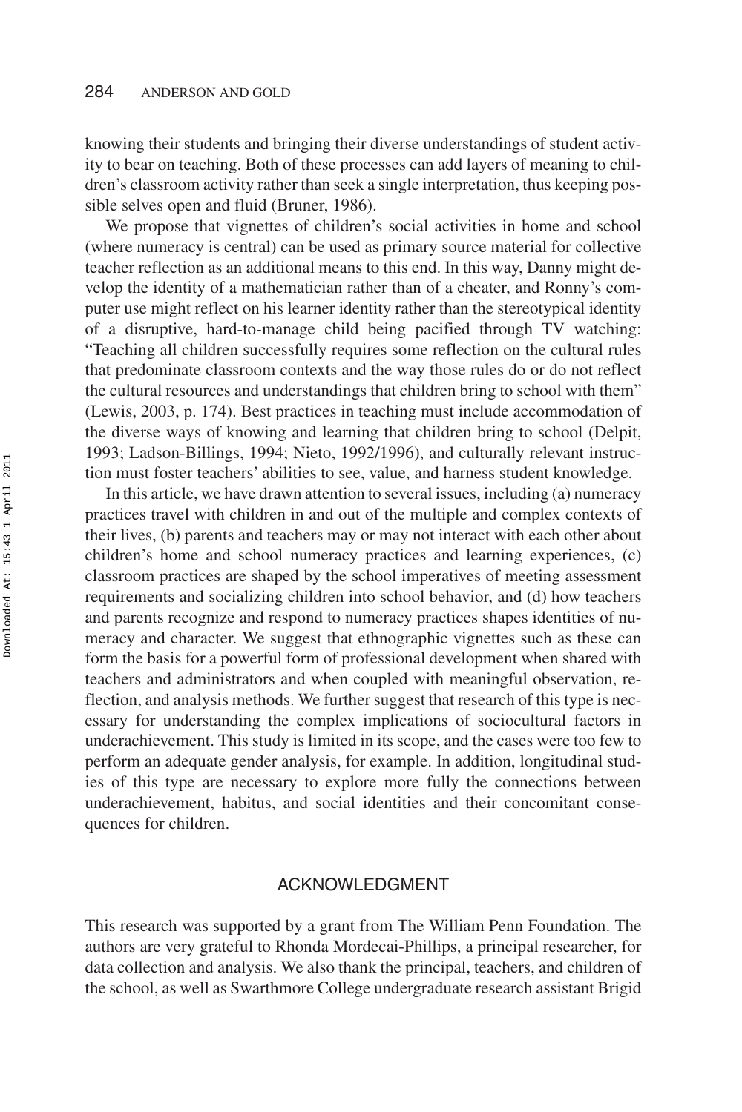knowing their students and bringing their diverse understandings of student activity to bear on teaching. Both of these processes can add layers of meaning to children's classroom activity rather than seek a single interpretation, thus keeping possible selves open and fluid (Bruner, 1986).

We propose that vignettes of children's social activities in home and school (where numeracy is central) can be used as primary source material for collective teacher reflection as an additional means to this end. In this way, Danny might develop the identity of a mathematician rather than of a cheater, and Ronny's computer use might reflect on his learner identity rather than the stereotypical identity of a disruptive, hard-to-manage child being pacified through TV watching: "Teaching all children successfully requires some reflection on the cultural rules that predominate classroom contexts and the way those rules do or do not reflect the cultural resources and understandings that children bring to school with them" (Lewis, 2003, p. 174). Best practices in teaching must include accommodation of the diverse ways of knowing and learning that children bring to school (Delpit, 1993; Ladson-Billings, 1994; Nieto, 1992/1996), and culturally relevant instruction must foster teachers' abilities to see, value, and harness student knowledge.

In this article, we have drawn attention to several issues, including (a) numeracy practices travel with children in and out of the multiple and complex contexts of their lives, (b) parents and teachers may or may not interact with each other about children's home and school numeracy practices and learning experiences, (c) classroom practices are shaped by the school imperatives of meeting assessment requirements and socializing children into school behavior, and (d) how teachers and parents recognize and respond to numeracy practices shapes identities of numeracy and character. We suggest that ethnographic vignettes such as these can form the basis for a powerful form of professional development when shared with teachers and administrators and when coupled with meaningful observation, reflection, and analysis methods. We further suggest that research of this type is necessary for understanding the complex implications of sociocultural factors in underachievement. This study is limited in its scope, and the cases were too few to perform an adequate gender analysis, for example. In addition, longitudinal studies of this type are necessary to explore more fully the connections between underachievement, habitus, and social identities and their concomitant consequences for children.

#### ACKNOWLEDGMENT

This research was supported by a grant from The William Penn Foundation. The authors are very grateful to Rhonda Mordecai-Phillips, a principal researcher, for data collection and analysis. We also thank the principal, teachers, and children of the school, as well as Swarthmore College undergraduate research assistant Brigid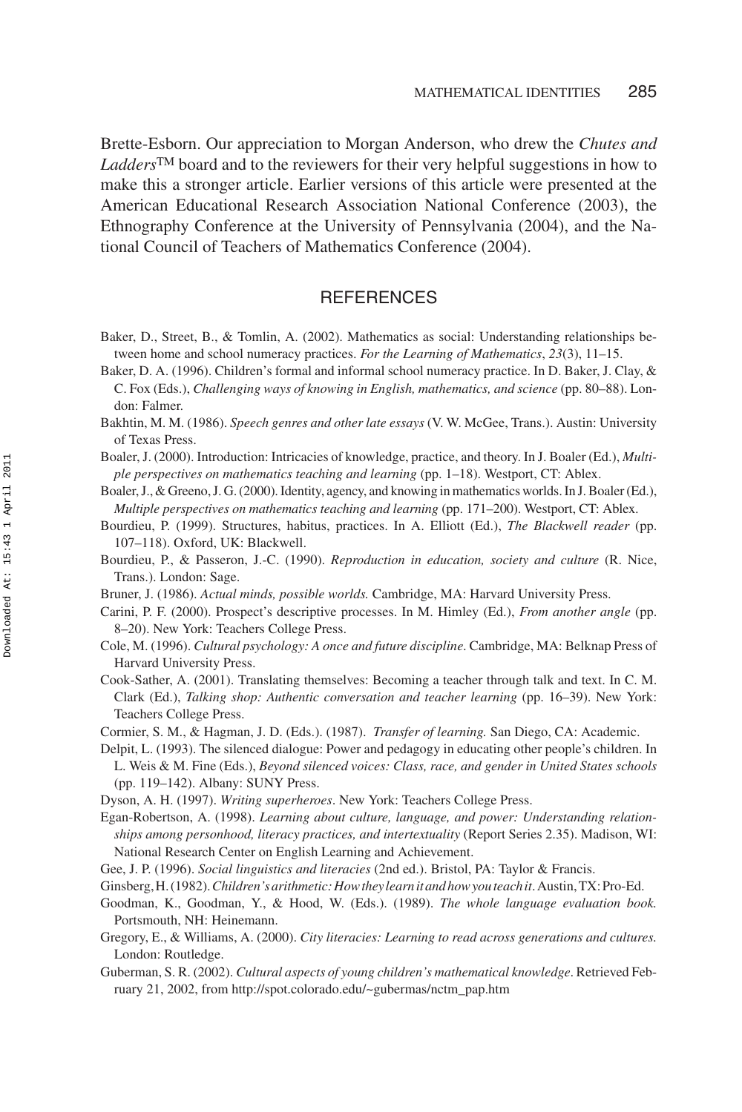Brette-Esborn. Our appreciation to Morgan Anderson, who drew the *Chutes and Ladders*TM board and to the reviewers for their very helpful suggestions in how to make this a stronger article. Earlier versions of this article were presented at the American Educational Research Association National Conference (2003), the Ethnography Conference at the University of Pennsylvania (2004), and the National Council of Teachers of Mathematics Conference (2004).

## **REFERENCES**

- Baker, D., Street, B., & Tomlin, A. (2002). Mathematics as social: Understanding relationships between home and school numeracy practices. *For the Learning of Mathematics*, *23*(3), 11–15.
- Baker, D. A. (1996). Children's formal and informal school numeracy practice. In D. Baker, J. Clay, & C. Fox (Eds.), *Challenging ways of knowing in English, mathematics, and science* (pp. 80–88). London: Falmer.
- Bakhtin, M. M. (1986). *Speech genres and other late essays* (V. W. McGee, Trans.). Austin: University of Texas Press.
- Boaler, J. (2000). Introduction: Intricacies of knowledge, practice, and theory. In J. Boaler (Ed.), *Multiple perspectives on mathematics teaching and learning* (pp. 1–18). Westport, CT: Ablex.
- Boaler, J., & Greeno, J. G. (2000). Identity, agency, and knowing in mathematics worlds. In J. Boaler (Ed.), *Multiple perspectives on mathematics teaching and learning* (pp. 171–200). Westport, CT: Ablex.
- Bourdieu, P. (1999). Structures, habitus, practices. In A. Elliott (Ed.), *The Blackwell reader* (pp. 107–118). Oxford, UK: Blackwell.
- Bourdieu, P., & Passeron, J.-C. (1990). *Reproduction in education, society and culture* (R. Nice, Trans.). London: Sage.
- Bruner, J. (1986). *Actual minds, possible worlds.* Cambridge, MA: Harvard University Press.
- Carini, P. F. (2000). Prospect's descriptive processes. In M. Himley (Ed.), *From another angle* (pp. 8–20). New York: Teachers College Press.
- Cole, M. (1996). *Cultural psychology: A once and future discipline*. Cambridge, MA: Belknap Press of Harvard University Press.
- Cook-Sather, A. (2001). Translating themselves: Becoming a teacher through talk and text. In C. M. Clark (Ed.), *Talking shop: Authentic conversation and teacher learning* (pp. 16–39). New York: Teachers College Press.
- Cormier, S. M., & Hagman, J. D. (Eds.). (1987). *Transfer of learning.* San Diego, CA: Academic.
- Delpit, L. (1993). The silenced dialogue: Power and pedagogy in educating other people's children. In L. Weis & M. Fine (Eds.), *Beyond silenced voices: Class, race, and gender in United States schools* (pp. 119–142). Albany: SUNY Press.
- Dyson, A. H. (1997). *Writing superheroes*. New York: Teachers College Press.
- Egan-Robertson, A. (1998). *Learning about culture, language, and power: Understanding relationships among personhood, literacy practices, and intertextuality* (Report Series 2.35). Madison, WI: National Research Center on English Learning and Achievement.
- Gee, J. P. (1996). *Social linguistics and literacies* (2nd ed.). Bristol, PA: Taylor & Francis.
- Ginsberg,H.(1982).*Children'sarithmetic:Howtheylearnitandhowyouteachit*.Austin,TX:Pro-Ed.
- Goodman, K., Goodman, Y., & Hood, W. (Eds.). (1989). *The whole language evaluation book.* Portsmouth, NH: Heinemann.
- Gregory, E., & Williams, A. (2000). *City literacies: Learning to read across generations and cultures.* London: Routledge.
- Guberman, S. R. (2002). *Cultural aspects of young children's mathematical knowledge*. Retrieved February 21, 2002, from http://spot.colorado.edu/~gubermas/nctm\_pap.htm